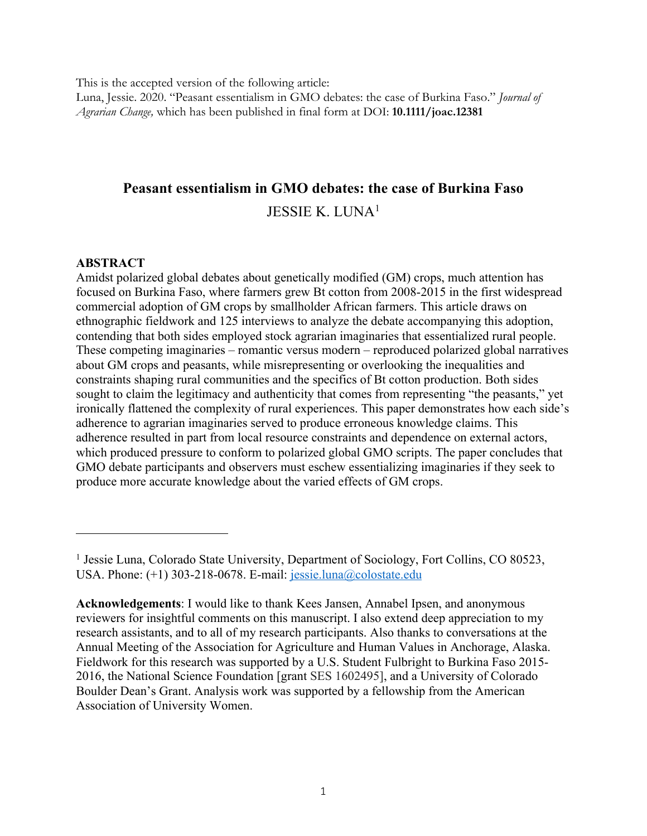This is the accepted version of the following article:

Luna, Jessie. 2020. "Peasant essentialism in GMO debates: the case of Burkina Faso." *Journal of Agrarian Change,* which has been published in final form at DOI: **10.1111/joac.12381**

# **Peasant essentialism in GMO debates: the case of Burkina Faso** JESSIE K. LUNA1

# **ABSTRACT**

Amidst polarized global debates about genetically modified (GM) crops, much attention has focused on Burkina Faso, where farmers grew Bt cotton from 2008-2015 in the first widespread commercial adoption of GM crops by smallholder African farmers. This article draws on ethnographic fieldwork and 125 interviews to analyze the debate accompanying this adoption, contending that both sides employed stock agrarian imaginaries that essentialized rural people. These competing imaginaries – romantic versus modern – reproduced polarized global narratives about GM crops and peasants, while misrepresenting or overlooking the inequalities and constraints shaping rural communities and the specifics of Bt cotton production. Both sides sought to claim the legitimacy and authenticity that comes from representing "the peasants," yet ironically flattened the complexity of rural experiences. This paper demonstrates how each side's adherence to agrarian imaginaries served to produce erroneous knowledge claims. This adherence resulted in part from local resource constraints and dependence on external actors, which produced pressure to conform to polarized global GMO scripts. The paper concludes that GMO debate participants and observers must eschew essentializing imaginaries if they seek to produce more accurate knowledge about the varied effects of GM crops.

<sup>&</sup>lt;sup>1</sup> Jessie Luna, Colorado State University, Department of Sociology, Fort Collins, CO 80523, USA. Phone: (+1) 303-218-0678. E-mail: jessie.luna@colostate.edu

**Acknowledgements**: I would like to thank Kees Jansen, Annabel Ipsen, and anonymous reviewers for insightful comments on this manuscript. I also extend deep appreciation to my research assistants, and to all of my research participants. Also thanks to conversations at the Annual Meeting of the Association for Agriculture and Human Values in Anchorage, Alaska. Fieldwork for this research was supported by a U.S. Student Fulbright to Burkina Faso 2015- 2016, the National Science Foundation [grant SES 1602495], and a University of Colorado Boulder Dean's Grant. Analysis work was supported by a fellowship from the American Association of University Women.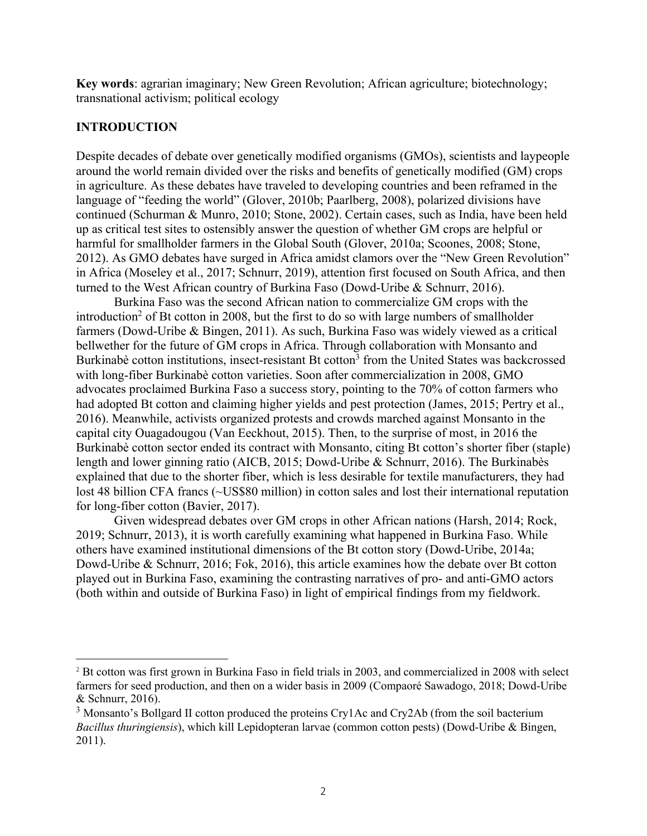**Key words**: agrarian imaginary; New Green Revolution; African agriculture; biotechnology; transnational activism; political ecology

# **INTRODUCTION**

Despite decades of debate over genetically modified organisms (GMOs), scientists and laypeople around the world remain divided over the risks and benefits of genetically modified (GM) crops in agriculture. As these debates have traveled to developing countries and been reframed in the language of "feeding the world" (Glover, 2010b; Paarlberg, 2008), polarized divisions have continued (Schurman & Munro, 2010; Stone, 2002). Certain cases, such as India, have been held up as critical test sites to ostensibly answer the question of whether GM crops are helpful or harmful for smallholder farmers in the Global South (Glover, 2010a; Scoones, 2008; Stone, 2012). As GMO debates have surged in Africa amidst clamors over the "New Green Revolution" in Africa (Moseley et al., 2017; Schnurr, 2019), attention first focused on South Africa, and then turned to the West African country of Burkina Faso (Dowd-Uribe & Schnurr, 2016).

Burkina Faso was the second African nation to commercialize GM crops with the  $introduction<sup>2</sup>$  of Bt cotton in 2008, but the first to do so with large numbers of smallholder farmers (Dowd-Uribe & Bingen, 2011). As such, Burkina Faso was widely viewed as a critical bellwether for the future of GM crops in Africa. Through collaboration with Monsanto and Burkinabè cotton institutions, insect-resistant Bt cotton<sup>3</sup> from the United States was backcrossed with long-fiber Burkinabè cotton varieties. Soon after commercialization in 2008, GMO advocates proclaimed Burkina Faso a success story, pointing to the 70% of cotton farmers who had adopted Bt cotton and claiming higher yields and pest protection (James, 2015; Pertry et al., 2016). Meanwhile, activists organized protests and crowds marched against Monsanto in the capital city Ouagadougou (Van Eeckhout, 2015). Then, to the surprise of most, in 2016 the Burkinabè cotton sector ended its contract with Monsanto, citing Bt cotton's shorter fiber (staple) length and lower ginning ratio (AICB, 2015; Dowd-Uribe & Schnurr, 2016). The Burkinabès explained that due to the shorter fiber, which is less desirable for textile manufacturers, they had lost 48 billion CFA francs (~US\$80 million) in cotton sales and lost their international reputation for long-fiber cotton (Bavier, 2017).

Given widespread debates over GM crops in other African nations (Harsh, 2014; Rock, 2019; Schnurr, 2013), it is worth carefully examining what happened in Burkina Faso. While others have examined institutional dimensions of the Bt cotton story (Dowd-Uribe, 2014a; Dowd-Uribe & Schnurr, 2016; Fok, 2016), this article examines how the debate over Bt cotton played out in Burkina Faso, examining the contrasting narratives of pro- and anti-GMO actors (both within and outside of Burkina Faso) in light of empirical findings from my fieldwork.

<sup>&</sup>lt;sup>2</sup> Bt cotton was first grown in Burkina Faso in field trials in 2003, and commercialized in 2008 with select farmers for seed production, and then on a wider basis in 2009 (Compaoré Sawadogo, 2018; Dowd-Uribe & Schnurr, 2016).

<sup>&</sup>lt;sup>3</sup> Monsanto's Bollgard II cotton produced the proteins Cry1Ac and Cry2Ab (from the soil bacterium *Bacillus thuringiensis*), which kill Lepidopteran larvae (common cotton pests) (Dowd-Uribe & Bingen, 2011).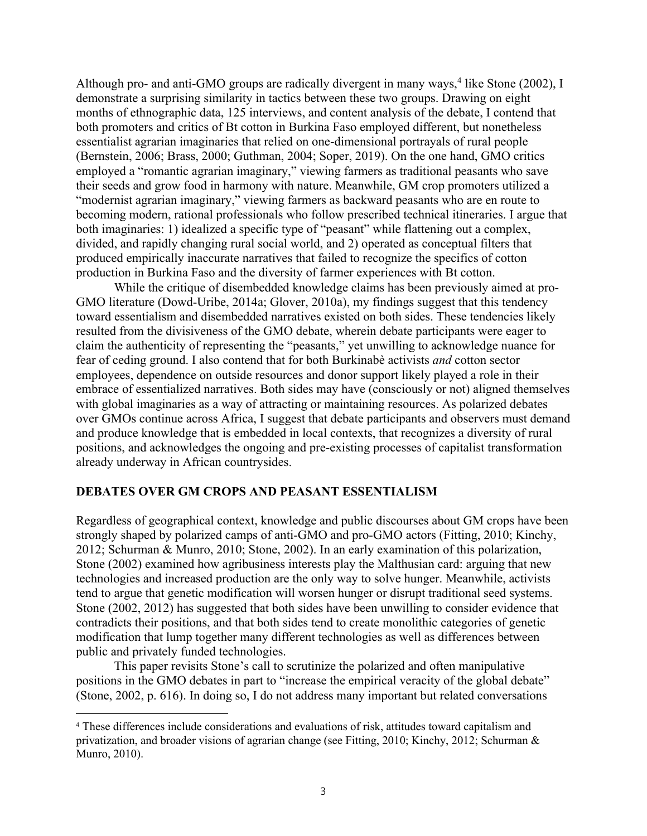Although pro- and anti-GMO groups are radically divergent in many ways,<sup>4</sup> like Stone  $(2002)$ , I demonstrate a surprising similarity in tactics between these two groups. Drawing on eight months of ethnographic data, 125 interviews, and content analysis of the debate, I contend that both promoters and critics of Bt cotton in Burkina Faso employed different, but nonetheless essentialist agrarian imaginaries that relied on one-dimensional portrayals of rural people (Bernstein, 2006; Brass, 2000; Guthman, 2004; Soper, 2019). On the one hand, GMO critics employed a "romantic agrarian imaginary," viewing farmers as traditional peasants who save their seeds and grow food in harmony with nature. Meanwhile, GM crop promoters utilized a "modernist agrarian imaginary," viewing farmers as backward peasants who are en route to becoming modern, rational professionals who follow prescribed technical itineraries. I argue that both imaginaries: 1) idealized a specific type of "peasant" while flattening out a complex, divided, and rapidly changing rural social world, and 2) operated as conceptual filters that produced empirically inaccurate narratives that failed to recognize the specifics of cotton production in Burkina Faso and the diversity of farmer experiences with Bt cotton.

While the critique of disembedded knowledge claims has been previously aimed at pro-GMO literature (Dowd-Uribe, 2014a; Glover, 2010a), my findings suggest that this tendency toward essentialism and disembedded narratives existed on both sides. These tendencies likely resulted from the divisiveness of the GMO debate, wherein debate participants were eager to claim the authenticity of representing the "peasants," yet unwilling to acknowledge nuance for fear of ceding ground. I also contend that for both Burkinabè activists *and* cotton sector employees, dependence on outside resources and donor support likely played a role in their embrace of essentialized narratives. Both sides may have (consciously or not) aligned themselves with global imaginaries as a way of attracting or maintaining resources. As polarized debates over GMOs continue across Africa, I suggest that debate participants and observers must demand and produce knowledge that is embedded in local contexts, that recognizes a diversity of rural positions, and acknowledges the ongoing and pre-existing processes of capitalist transformation already underway in African countrysides.

# **DEBATES OVER GM CROPS AND PEASANT ESSENTIALISM**

Regardless of geographical context, knowledge and public discourses about GM crops have been strongly shaped by polarized camps of anti-GMO and pro-GMO actors (Fitting, 2010; Kinchy, 2012; Schurman & Munro, 2010; Stone, 2002). In an early examination of this polarization, Stone (2002) examined how agribusiness interests play the Malthusian card: arguing that new technologies and increased production are the only way to solve hunger. Meanwhile, activists tend to argue that genetic modification will worsen hunger or disrupt traditional seed systems. Stone (2002, 2012) has suggested that both sides have been unwilling to consider evidence that contradicts their positions, and that both sides tend to create monolithic categories of genetic modification that lump together many different technologies as well as differences between public and privately funded technologies.

This paper revisits Stone's call to scrutinize the polarized and often manipulative positions in the GMO debates in part to "increase the empirical veracity of the global debate" (Stone, 2002, p. 616). In doing so, I do not address many important but related conversations

<sup>4</sup> These differences include considerations and evaluations of risk, attitudes toward capitalism and privatization, and broader visions of agrarian change (see Fitting, 2010; Kinchy, 2012; Schurman & Munro, 2010).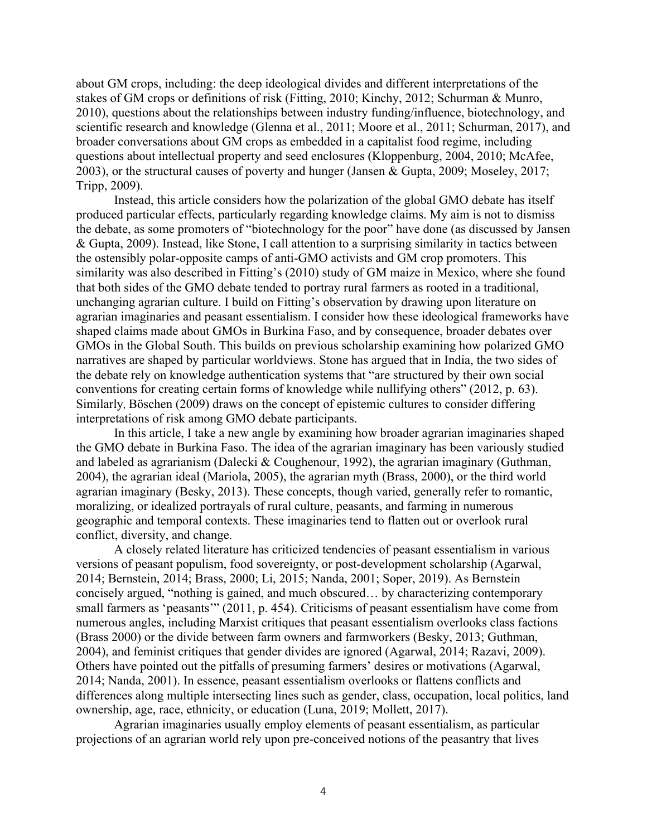about GM crops, including: the deep ideological divides and different interpretations of the stakes of GM crops or definitions of risk (Fitting, 2010; Kinchy, 2012; Schurman & Munro, 2010), questions about the relationships between industry funding/influence, biotechnology, and scientific research and knowledge (Glenna et al., 2011; Moore et al., 2011; Schurman, 2017), and broader conversations about GM crops as embedded in a capitalist food regime, including questions about intellectual property and seed enclosures (Kloppenburg, 2004, 2010; McAfee, 2003), or the structural causes of poverty and hunger (Jansen & Gupta, 2009; Moseley, 2017; Tripp, 2009).

Instead, this article considers how the polarization of the global GMO debate has itself produced particular effects, particularly regarding knowledge claims. My aim is not to dismiss the debate, as some promoters of "biotechnology for the poor" have done (as discussed by Jansen & Gupta, 2009). Instead, like Stone, I call attention to a surprising similarity in tactics between the ostensibly polar-opposite camps of anti-GMO activists and GM crop promoters. This similarity was also described in Fitting's (2010) study of GM maize in Mexico, where she found that both sides of the GMO debate tended to portray rural farmers as rooted in a traditional, unchanging agrarian culture. I build on Fitting's observation by drawing upon literature on agrarian imaginaries and peasant essentialism. I consider how these ideological frameworks have shaped claims made about GMOs in Burkina Faso, and by consequence, broader debates over GMOs in the Global South. This builds on previous scholarship examining how polarized GMO narratives are shaped by particular worldviews. Stone has argued that in India, the two sides of the debate rely on knowledge authentication systems that "are structured by their own social conventions for creating certain forms of knowledge while nullifying others" (2012, p. 63). Similarly, Böschen (2009) draws on the concept of epistemic cultures to consider differing interpretations of risk among GMO debate participants.

In this article, I take a new angle by examining how broader agrarian imaginaries shaped the GMO debate in Burkina Faso. The idea of the agrarian imaginary has been variously studied and labeled as agrarianism (Dalecki & Coughenour, 1992), the agrarian imaginary (Guthman, 2004), the agrarian ideal (Mariola, 2005), the agrarian myth (Brass, 2000), or the third world agrarian imaginary (Besky, 2013). These concepts, though varied, generally refer to romantic, moralizing, or idealized portrayals of rural culture, peasants, and farming in numerous geographic and temporal contexts. These imaginaries tend to flatten out or overlook rural conflict, diversity, and change.

A closely related literature has criticized tendencies of peasant essentialism in various versions of peasant populism, food sovereignty, or post-development scholarship (Agarwal, 2014; Bernstein, 2014; Brass, 2000; Li, 2015; Nanda, 2001; Soper, 2019). As Bernstein concisely argued, "nothing is gained, and much obscured… by characterizing contemporary small farmers as 'peasants'" (2011, p. 454). Criticisms of peasant essentialism have come from numerous angles, including Marxist critiques that peasant essentialism overlooks class factions (Brass 2000) or the divide between farm owners and farmworkers (Besky, 2013; Guthman, 2004), and feminist critiques that gender divides are ignored (Agarwal, 2014; Razavi, 2009). Others have pointed out the pitfalls of presuming farmers' desires or motivations (Agarwal, 2014; Nanda, 2001). In essence, peasant essentialism overlooks or flattens conflicts and differences along multiple intersecting lines such as gender, class, occupation, local politics, land ownership, age, race, ethnicity, or education (Luna, 2019; Mollett, 2017).

Agrarian imaginaries usually employ elements of peasant essentialism, as particular projections of an agrarian world rely upon pre-conceived notions of the peasantry that lives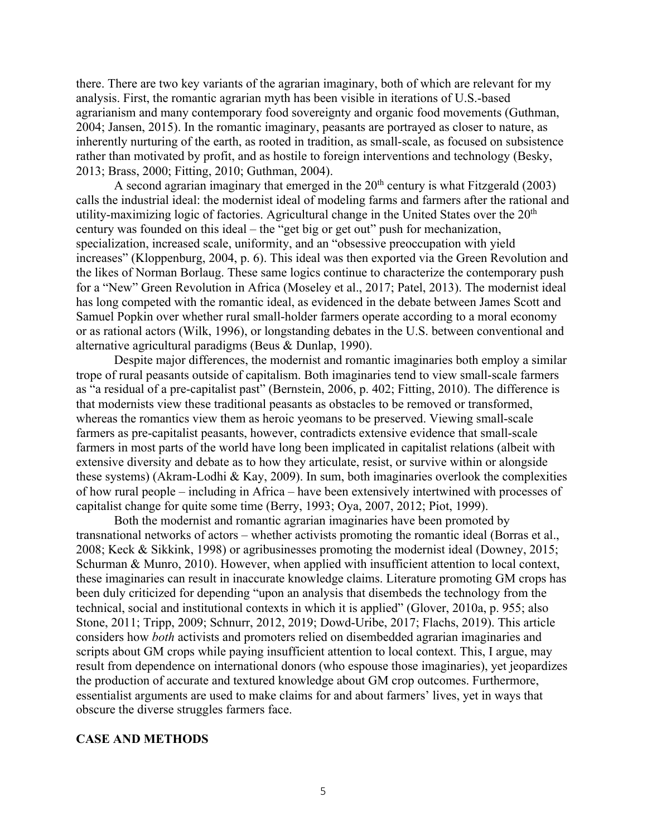there. There are two key variants of the agrarian imaginary, both of which are relevant for my analysis. First, the romantic agrarian myth has been visible in iterations of U.S.-based agrarianism and many contemporary food sovereignty and organic food movements (Guthman, 2004; Jansen, 2015). In the romantic imaginary, peasants are portrayed as closer to nature, as inherently nurturing of the earth, as rooted in tradition, as small-scale, as focused on subsistence rather than motivated by profit, and as hostile to foreign interventions and technology (Besky, 2013; Brass, 2000; Fitting, 2010; Guthman, 2004).

A second agrarian imaginary that emerged in the  $20<sup>th</sup>$  century is what Fitzgerald (2003) calls the industrial ideal: the modernist ideal of modeling farms and farmers after the rational and utility-maximizing logic of factories. Agricultural change in the United States over the  $20<sup>th</sup>$ century was founded on this ideal – the "get big or get out" push for mechanization, specialization, increased scale, uniformity, and an "obsessive preoccupation with yield increases" (Kloppenburg, 2004, p. 6). This ideal was then exported via the Green Revolution and the likes of Norman Borlaug. These same logics continue to characterize the contemporary push for a "New" Green Revolution in Africa (Moseley et al., 2017; Patel, 2013). The modernist ideal has long competed with the romantic ideal, as evidenced in the debate between James Scott and Samuel Popkin over whether rural small-holder farmers operate according to a moral economy or as rational actors (Wilk, 1996), or longstanding debates in the U.S. between conventional and alternative agricultural paradigms (Beus & Dunlap, 1990).

Despite major differences, the modernist and romantic imaginaries both employ a similar trope of rural peasants outside of capitalism. Both imaginaries tend to view small-scale farmers as "a residual of a pre-capitalist past" (Bernstein, 2006, p. 402; Fitting, 2010). The difference is that modernists view these traditional peasants as obstacles to be removed or transformed, whereas the romantics view them as heroic yeomans to be preserved. Viewing small-scale farmers as pre-capitalist peasants, however, contradicts extensive evidence that small-scale farmers in most parts of the world have long been implicated in capitalist relations (albeit with extensive diversity and debate as to how they articulate, resist, or survive within or alongside these systems) (Akram-Lodhi & Kay, 2009). In sum, both imaginaries overlook the complexities of how rural people – including in Africa – have been extensively intertwined with processes of capitalist change for quite some time (Berry, 1993; Oya, 2007, 2012; Piot, 1999).

Both the modernist and romantic agrarian imaginaries have been promoted by transnational networks of actors – whether activists promoting the romantic ideal (Borras et al., 2008; Keck & Sikkink, 1998) or agribusinesses promoting the modernist ideal (Downey, 2015; Schurman & Munro, 2010). However, when applied with insufficient attention to local context, these imaginaries can result in inaccurate knowledge claims. Literature promoting GM crops has been duly criticized for depending "upon an analysis that disembeds the technology from the technical, social and institutional contexts in which it is applied" (Glover, 2010a, p. 955; also Stone, 2011; Tripp, 2009; Schnurr, 2012, 2019; Dowd-Uribe, 2017; Flachs, 2019). This article considers how *both* activists and promoters relied on disembedded agrarian imaginaries and scripts about GM crops while paying insufficient attention to local context. This, I argue, may result from dependence on international donors (who espouse those imaginaries), yet jeopardizes the production of accurate and textured knowledge about GM crop outcomes. Furthermore, essentialist arguments are used to make claims for and about farmers' lives, yet in ways that obscure the diverse struggles farmers face.

#### **CASE AND METHODS**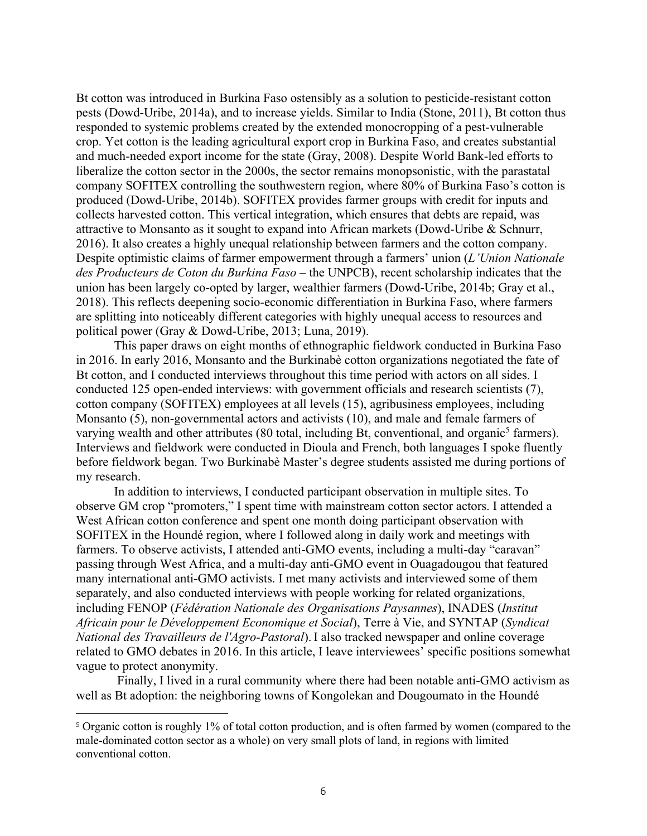Bt cotton was introduced in Burkina Faso ostensibly as a solution to pesticide-resistant cotton pests (Dowd-Uribe, 2014a), and to increase yields. Similar to India (Stone, 2011), Bt cotton thus responded to systemic problems created by the extended monocropping of a pest-vulnerable crop. Yet cotton is the leading agricultural export crop in Burkina Faso, and creates substantial and much-needed export income for the state (Gray, 2008). Despite World Bank-led efforts to liberalize the cotton sector in the 2000s, the sector remains monopsonistic, with the parastatal company SOFITEX controlling the southwestern region, where 80% of Burkina Faso's cotton is produced (Dowd-Uribe, 2014b). SOFITEX provides farmer groups with credit for inputs and collects harvested cotton. This vertical integration, which ensures that debts are repaid, was attractive to Monsanto as it sought to expand into African markets (Dowd-Uribe & Schnurr, 2016). It also creates a highly unequal relationship between farmers and the cotton company. Despite optimistic claims of farmer empowerment through a farmers' union (*L'Union Nationale des Producteurs de Coton du Burkina Faso* – the UNPCB), recent scholarship indicates that the union has been largely co-opted by larger, wealthier farmers (Dowd-Uribe, 2014b; Gray et al., 2018). This reflects deepening socio-economic differentiation in Burkina Faso, where farmers are splitting into noticeably different categories with highly unequal access to resources and political power (Gray & Dowd-Uribe, 2013; Luna, 2019).

This paper draws on eight months of ethnographic fieldwork conducted in Burkina Faso in 2016. In early 2016, Monsanto and the Burkinabè cotton organizations negotiated the fate of Bt cotton, and I conducted interviews throughout this time period with actors on all sides. I conducted 125 open-ended interviews: with government officials and research scientists (7), cotton company (SOFITEX) employees at all levels (15), agribusiness employees, including Monsanto (5), non-governmental actors and activists (10), and male and female farmers of varying wealth and other attributes (80 total, including Bt, conventional, and organic<sup>5</sup> farmers). Interviews and fieldwork were conducted in Dioula and French, both languages I spoke fluently before fieldwork began. Two Burkinabè Master's degree students assisted me during portions of my research.

In addition to interviews, I conducted participant observation in multiple sites. To observe GM crop "promoters," I spent time with mainstream cotton sector actors. I attended a West African cotton conference and spent one month doing participant observation with SOFITEX in the Houndé region, where I followed along in daily work and meetings with farmers. To observe activists, I attended anti-GMO events, including a multi-day "caravan" passing through West Africa, and a multi-day anti-GMO event in Ouagadougou that featured many international anti-GMO activists. I met many activists and interviewed some of them separately, and also conducted interviews with people working for related organizations, including FENOP (*Fédération Nationale des Organisations Paysannes*), INADES (*Institut Africain pour le Développement Economique et Social*), Terre à Vie, and SYNTAP (*Syndicat National des Travailleurs de l'Agro-Pastoral*). I also tracked newspaper and online coverage related to GMO debates in 2016. In this article, I leave interviewees' specific positions somewhat vague to protect anonymity.

Finally, I lived in a rural community where there had been notable anti-GMO activism as well as Bt adoption: the neighboring towns of Kongolekan and Dougoumato in the Houndé

<sup>&</sup>lt;sup>5</sup> Organic cotton is roughly 1% of total cotton production, and is often farmed by women (compared to the male-dominated cotton sector as a whole) on very small plots of land, in regions with limited conventional cotton.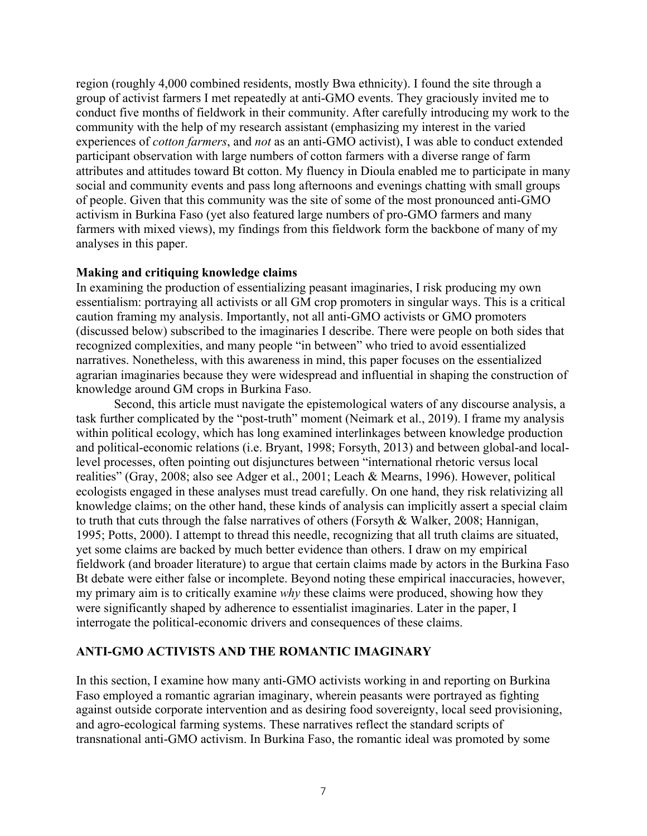region (roughly 4,000 combined residents, mostly Bwa ethnicity). I found the site through a group of activist farmers I met repeatedly at anti-GMO events. They graciously invited me to conduct five months of fieldwork in their community. After carefully introducing my work to the community with the help of my research assistant (emphasizing my interest in the varied experiences of *cotton farmers*, and *not* as an anti-GMO activist), I was able to conduct extended participant observation with large numbers of cotton farmers with a diverse range of farm attributes and attitudes toward Bt cotton. My fluency in Dioula enabled me to participate in many social and community events and pass long afternoons and evenings chatting with small groups of people. Given that this community was the site of some of the most pronounced anti-GMO activism in Burkina Faso (yet also featured large numbers of pro-GMO farmers and many farmers with mixed views), my findings from this fieldwork form the backbone of many of my analyses in this paper.

# **Making and critiquing knowledge claims**

In examining the production of essentializing peasant imaginaries, I risk producing my own essentialism: portraying all activists or all GM crop promoters in singular ways. This is a critical caution framing my analysis. Importantly, not all anti-GMO activists or GMO promoters (discussed below) subscribed to the imaginaries I describe. There were people on both sides that recognized complexities, and many people "in between" who tried to avoid essentialized narratives. Nonetheless, with this awareness in mind, this paper focuses on the essentialized agrarian imaginaries because they were widespread and influential in shaping the construction of knowledge around GM crops in Burkina Faso.

Second, this article must navigate the epistemological waters of any discourse analysis, a task further complicated by the "post-truth" moment (Neimark et al., 2019). I frame my analysis within political ecology, which has long examined interlinkages between knowledge production and political-economic relations (i.e. Bryant, 1998; Forsyth, 2013) and between global-and locallevel processes, often pointing out disjunctures between "international rhetoric versus local realities" (Gray, 2008; also see Adger et al., 2001; Leach & Mearns, 1996). However, political ecologists engaged in these analyses must tread carefully. On one hand, they risk relativizing all knowledge claims; on the other hand, these kinds of analysis can implicitly assert a special claim to truth that cuts through the false narratives of others (Forsyth & Walker, 2008; Hannigan, 1995; Potts, 2000). I attempt to thread this needle, recognizing that all truth claims are situated, yet some claims are backed by much better evidence than others. I draw on my empirical fieldwork (and broader literature) to argue that certain claims made by actors in the Burkina Faso Bt debate were either false or incomplete. Beyond noting these empirical inaccuracies, however, my primary aim is to critically examine *why* these claims were produced, showing how they were significantly shaped by adherence to essentialist imaginaries. Later in the paper, I interrogate the political-economic drivers and consequences of these claims.

# **ANTI-GMO ACTIVISTS AND THE ROMANTIC IMAGINARY**

In this section, I examine how many anti-GMO activists working in and reporting on Burkina Faso employed a romantic agrarian imaginary, wherein peasants were portrayed as fighting against outside corporate intervention and as desiring food sovereignty, local seed provisioning, and agro-ecological farming systems. These narratives reflect the standard scripts of transnational anti-GMO activism. In Burkina Faso, the romantic ideal was promoted by some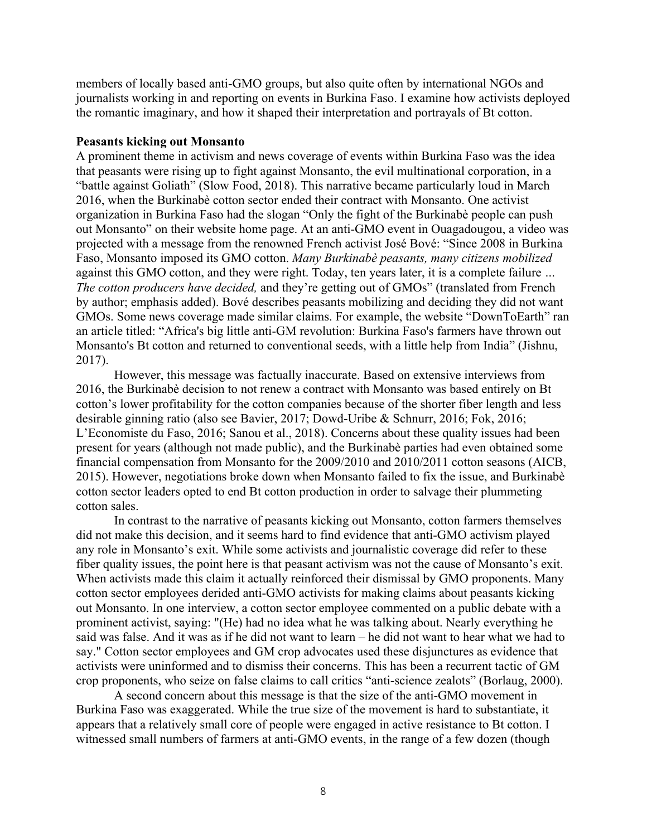members of locally based anti-GMO groups, but also quite often by international NGOs and journalists working in and reporting on events in Burkina Faso. I examine how activists deployed the romantic imaginary, and how it shaped their interpretation and portrayals of Bt cotton.

#### **Peasants kicking out Monsanto**

A prominent theme in activism and news coverage of events within Burkina Faso was the idea that peasants were rising up to fight against Monsanto, the evil multinational corporation, in a "battle against Goliath" (Slow Food, 2018). This narrative became particularly loud in March 2016, when the Burkinabè cotton sector ended their contract with Monsanto. One activist organization in Burkina Faso had the slogan "Only the fight of the Burkinabè people can push out Monsanto" on their website home page. At an anti-GMO event in Ouagadougou, a video was projected with a message from the renowned French activist José Bové: "Since 2008 in Burkina Faso, Monsanto imposed its GMO cotton. *Many Burkinabè peasants, many citizens mobilized* against this GMO cotton, and they were right. Today, ten years later, it is a complete failure *… The cotton producers have decided,* and they're getting out of GMOs" (translated from French by author; emphasis added). Bové describes peasants mobilizing and deciding they did not want GMOs. Some news coverage made similar claims. For example, the website "DownToEarth" ran an article titled: "Africa's big little anti-GM revolution: Burkina Faso's farmers have thrown out Monsanto's Bt cotton and returned to conventional seeds, with a little help from India" (Jishnu, 2017).

However, this message was factually inaccurate. Based on extensive interviews from 2016, the Burkinabè decision to not renew a contract with Monsanto was based entirely on Bt cotton's lower profitability for the cotton companies because of the shorter fiber length and less desirable ginning ratio (also see Bavier, 2017; Dowd-Uribe & Schnurr, 2016; Fok, 2016; L'Economiste du Faso, 2016; Sanou et al., 2018). Concerns about these quality issues had been present for years (although not made public), and the Burkinabè parties had even obtained some financial compensation from Monsanto for the 2009/2010 and 2010/2011 cotton seasons (AICB, 2015). However, negotiations broke down when Monsanto failed to fix the issue, and Burkinabè cotton sector leaders opted to end Bt cotton production in order to salvage their plummeting cotton sales.

In contrast to the narrative of peasants kicking out Monsanto, cotton farmers themselves did not make this decision, and it seems hard to find evidence that anti-GMO activism played any role in Monsanto's exit. While some activists and journalistic coverage did refer to these fiber quality issues, the point here is that peasant activism was not the cause of Monsanto's exit. When activists made this claim it actually reinforced their dismissal by GMO proponents. Many cotton sector employees derided anti-GMO activists for making claims about peasants kicking out Monsanto. In one interview, a cotton sector employee commented on a public debate with a prominent activist, saying: "(He) had no idea what he was talking about. Nearly everything he said was false. And it was as if he did not want to learn – he did not want to hear what we had to say." Cotton sector employees and GM crop advocates used these disjunctures as evidence that activists were uninformed and to dismiss their concerns. This has been a recurrent tactic of GM crop proponents, who seize on false claims to call critics "anti-science zealots" (Borlaug, 2000).

A second concern about this message is that the size of the anti-GMO movement in Burkina Faso was exaggerated. While the true size of the movement is hard to substantiate, it appears that a relatively small core of people were engaged in active resistance to Bt cotton. I witnessed small numbers of farmers at anti-GMO events, in the range of a few dozen (though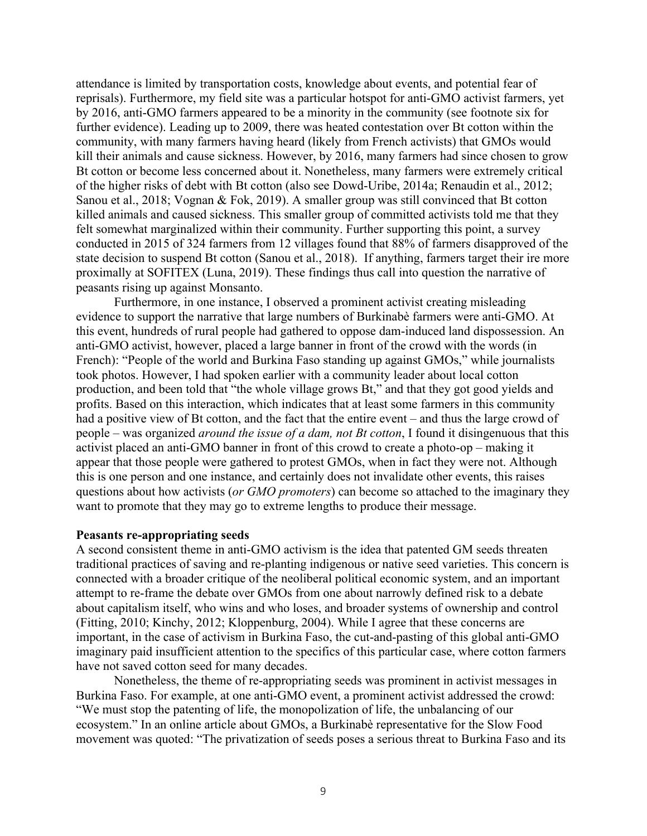attendance is limited by transportation costs, knowledge about events, and potential fear of reprisals). Furthermore, my field site was a particular hotspot for anti-GMO activist farmers, yet by 2016, anti-GMO farmers appeared to be a minority in the community (see footnote six for further evidence). Leading up to 2009, there was heated contestation over Bt cotton within the community, with many farmers having heard (likely from French activists) that GMOs would kill their animals and cause sickness. However, by 2016, many farmers had since chosen to grow Bt cotton or become less concerned about it. Nonetheless, many farmers were extremely critical of the higher risks of debt with Bt cotton (also see Dowd-Uribe, 2014a; Renaudin et al., 2012; Sanou et al., 2018; Vognan & Fok, 2019). A smaller group was still convinced that Bt cotton killed animals and caused sickness. This smaller group of committed activists told me that they felt somewhat marginalized within their community. Further supporting this point, a survey conducted in 2015 of 324 farmers from 12 villages found that 88% of farmers disapproved of the state decision to suspend Bt cotton (Sanou et al., 2018). If anything, farmers target their ire more proximally at SOFITEX (Luna, 2019). These findings thus call into question the narrative of peasants rising up against Monsanto.

Furthermore, in one instance, I observed a prominent activist creating misleading evidence to support the narrative that large numbers of Burkinabè farmers were anti-GMO. At this event, hundreds of rural people had gathered to oppose dam-induced land dispossession. An anti-GMO activist, however, placed a large banner in front of the crowd with the words (in French): "People of the world and Burkina Faso standing up against GMOs," while journalists took photos. However, I had spoken earlier with a community leader about local cotton production, and been told that "the whole village grows Bt," and that they got good yields and profits. Based on this interaction, which indicates that at least some farmers in this community had a positive view of Bt cotton, and the fact that the entire event – and thus the large crowd of people – was organized *around the issue of a dam, not Bt cotton*, I found it disingenuous that this activist placed an anti-GMO banner in front of this crowd to create a photo-op – making it appear that those people were gathered to protest GMOs, when in fact they were not. Although this is one person and one instance, and certainly does not invalidate other events, this raises questions about how activists (*or GMO promoters*) can become so attached to the imaginary they want to promote that they may go to extreme lengths to produce their message.

#### **Peasants re-appropriating seeds**

A second consistent theme in anti-GMO activism is the idea that patented GM seeds threaten traditional practices of saving and re-planting indigenous or native seed varieties. This concern is connected with a broader critique of the neoliberal political economic system, and an important attempt to re-frame the debate over GMOs from one about narrowly defined risk to a debate about capitalism itself, who wins and who loses, and broader systems of ownership and control (Fitting, 2010; Kinchy, 2012; Kloppenburg, 2004). While I agree that these concerns are important, in the case of activism in Burkina Faso, the cut-and-pasting of this global anti-GMO imaginary paid insufficient attention to the specifics of this particular case, where cotton farmers have not saved cotton seed for many decades.

Nonetheless, the theme of re-appropriating seeds was prominent in activist messages in Burkina Faso. For example, at one anti-GMO event, a prominent activist addressed the crowd: "We must stop the patenting of life, the monopolization of life, the unbalancing of our ecosystem." In an online article about GMOs, a Burkinabè representative for the Slow Food movement was quoted: "The privatization of seeds poses a serious threat to Burkina Faso and its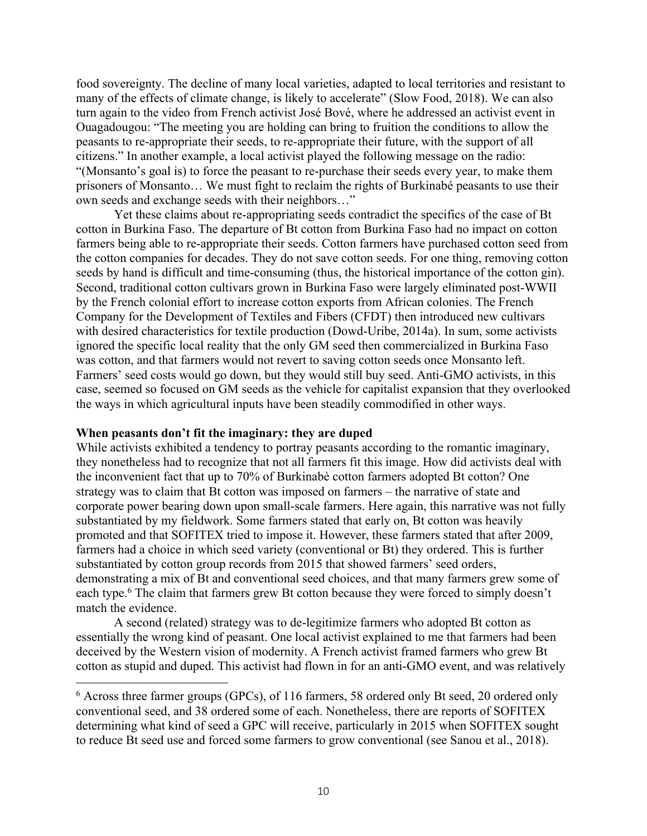food sovereignty. The decline of many local varieties, adapted to local territories and resistant to many of the effects of climate change, is likely to accelerate" (Slow Food, 2018). We can also turn again to the video from French activist José Bové, where he addressed an activist event in Ouagadougou: "The meeting you are holding can bring to fruition the conditions to allow the peasants to re-appropriate their seeds, to re-appropriate their future, with the support of all citizens." In another example, a local activist played the following message on the radio: "(Monsanto's goal is) to force the peasant to re-purchase their seeds every year, to make them prisoners of Monsanto… We must fight to reclaim the rights of Burkinabé peasants to use their own seeds and exchange seeds with their neighbors…"

Yet these claims about re-appropriating seeds contradict the specifics of the case of Bt cotton in Burkina Faso. The departure of Bt cotton from Burkina Faso had no impact on cotton farmers being able to re-appropriate their seeds. Cotton farmers have purchased cotton seed from the cotton companies for decades. They do not save cotton seeds. For one thing, removing cotton seeds by hand is difficult and time-consuming (thus, the historical importance of the cotton gin). Second, traditional cotton cultivars grown in Burkina Faso were largely eliminated post-WWII by the French colonial effort to increase cotton exports from African colonies. The French Company for the Development of Textiles and Fibers (CFDT) then introduced new cultivars with desired characteristics for textile production (Dowd-Uribe, 2014a). In sum, some activists ignored the specific local reality that the only GM seed then commercialized in Burkina Faso was cotton, and that farmers would not revert to saving cotton seeds once Monsanto left. Farmers' seed costs would go down, but they would still buy seed. Anti-GMO activists, in this case, seemed so focused on GM seeds as the vehicle for capitalist expansion that they overlooked the ways in which agricultural inputs have been steadily commodified in other ways.

# **When peasants don't fit the imaginary: they are duped**

While activists exhibited a tendency to portray peasants according to the romantic imaginary, they nonetheless had to recognize that not all farmers fit this image. How did activists deal with the inconvenient fact that up to 70% of Burkinabè cotton farmers adopted Bt cotton? One strategy was to claim that Bt cotton was imposed on farmers – the narrative of state and corporate power bearing down upon small-scale farmers. Here again, this narrative was not fully substantiated by my fieldwork. Some farmers stated that early on, Bt cotton was heavily promoted and that SOFITEX tried to impose it. However, these farmers stated that after 2009, farmers had a choice in which seed variety (conventional or Bt) they ordered. This is further substantiated by cotton group records from 2015 that showed farmers' seed orders, demonstrating a mix of Bt and conventional seed choices, and that many farmers grew some of each type.<sup>6</sup> The claim that farmers grew Bt cotton because they were forced to simply doesn't match the evidence.

A second (related) strategy was to de-legitimize farmers who adopted Bt cotton as essentially the wrong kind of peasant. One local activist explained to me that farmers had been deceived by the Western vision of modernity. A French activist framed farmers who grew Bt cotton as stupid and duped. This activist had flown in for an anti-GMO event, and was relatively

<sup>6</sup> Across three farmer groups (GPCs), of 116 farmers, 58 ordered only Bt seed, 20 ordered only conventional seed, and 38 ordered some of each. Nonetheless, there are reports of SOFITEX determining what kind of seed a GPC will receive, particularly in 2015 when SOFITEX sought to reduce Bt seed use and forced some farmers to grow conventional (see Sanou et al., 2018).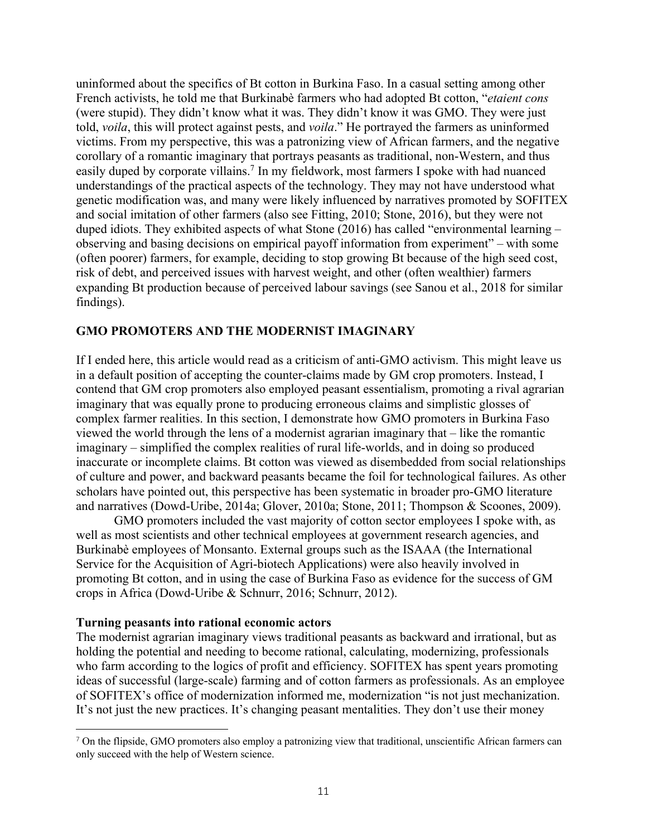uninformed about the specifics of Bt cotton in Burkina Faso. In a casual setting among other French activists, he told me that Burkinabè farmers who had adopted Bt cotton, "*etaient cons* (were stupid). They didn't know what it was. They didn't know it was GMO. They were just told, *voila*, this will protect against pests, and *voila*." He portrayed the farmers as uninformed victims. From my perspective, this was a patronizing view of African farmers, and the negative corollary of a romantic imaginary that portrays peasants as traditional, non-Western, and thus easily duped by corporate villains.<sup>7</sup> In my fieldwork, most farmers I spoke with had nuanced understandings of the practical aspects of the technology. They may not have understood what genetic modification was, and many were likely influenced by narratives promoted by SOFITEX and social imitation of other farmers (also see Fitting, 2010; Stone, 2016), but they were not duped idiots. They exhibited aspects of what Stone (2016) has called "environmental learning – observing and basing decisions on empirical payoff information from experiment" – with some (often poorer) farmers, for example, deciding to stop growing Bt because of the high seed cost, risk of debt, and perceived issues with harvest weight, and other (often wealthier) farmers expanding Bt production because of perceived labour savings (see Sanou et al., 2018 for similar findings).

# **GMO PROMOTERS AND THE MODERNIST IMAGINARY**

If I ended here, this article would read as a criticism of anti-GMO activism. This might leave us in a default position of accepting the counter-claims made by GM crop promoters. Instead, I contend that GM crop promoters also employed peasant essentialism, promoting a rival agrarian imaginary that was equally prone to producing erroneous claims and simplistic glosses of complex farmer realities. In this section, I demonstrate how GMO promoters in Burkina Faso viewed the world through the lens of a modernist agrarian imaginary that – like the romantic imaginary – simplified the complex realities of rural life-worlds, and in doing so produced inaccurate or incomplete claims. Bt cotton was viewed as disembedded from social relationships of culture and power, and backward peasants became the foil for technological failures. As other scholars have pointed out, this perspective has been systematic in broader pro-GMO literature and narratives (Dowd-Uribe, 2014a; Glover, 2010a; Stone, 2011; Thompson & Scoones, 2009).

GMO promoters included the vast majority of cotton sector employees I spoke with, as well as most scientists and other technical employees at government research agencies, and Burkinabè employees of Monsanto. External groups such as the ISAAA (the International Service for the Acquisition of Agri-biotech Applications) were also heavily involved in promoting Bt cotton, and in using the case of Burkina Faso as evidence for the success of GM crops in Africa (Dowd-Uribe & Schnurr, 2016; Schnurr, 2012).

# **Turning peasants into rational economic actors**

The modernist agrarian imaginary views traditional peasants as backward and irrational, but as holding the potential and needing to become rational, calculating, modernizing, professionals who farm according to the logics of profit and efficiency. SOFITEX has spent years promoting ideas of successful (large-scale) farming and of cotton farmers as professionals. As an employee of SOFITEX's office of modernization informed me, modernization "is not just mechanization. It's not just the new practices. It's changing peasant mentalities. They don't use their money

<sup>7</sup> On the flipside, GMO promoters also employ a patronizing view that traditional, unscientific African farmers can only succeed with the help of Western science.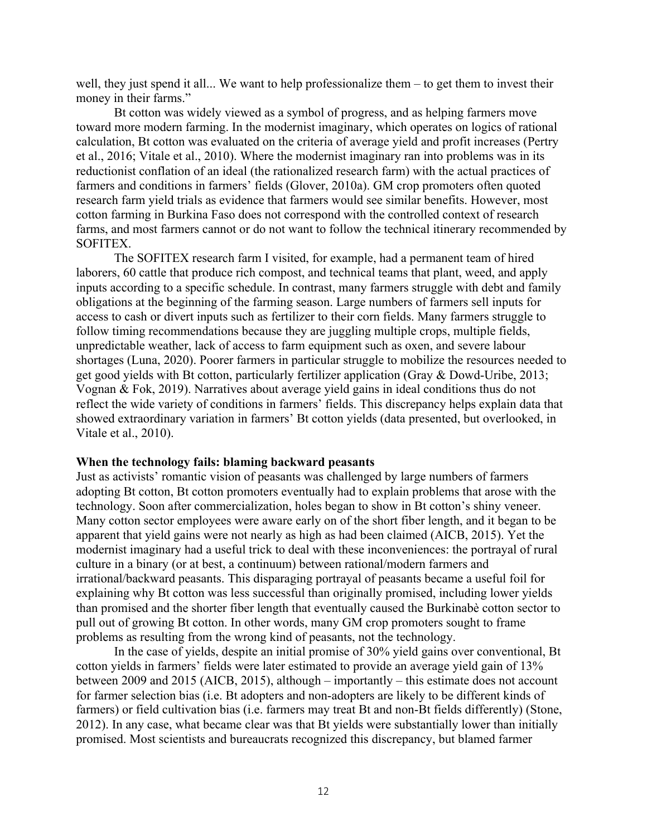well, they just spend it all... We want to help professionalize them – to get them to invest their money in their farms."

Bt cotton was widely viewed as a symbol of progress, and as helping farmers move toward more modern farming. In the modernist imaginary, which operates on logics of rational calculation, Bt cotton was evaluated on the criteria of average yield and profit increases (Pertry et al., 2016; Vitale et al., 2010). Where the modernist imaginary ran into problems was in its reductionist conflation of an ideal (the rationalized research farm) with the actual practices of farmers and conditions in farmers' fields (Glover, 2010a). GM crop promoters often quoted research farm yield trials as evidence that farmers would see similar benefits. However, most cotton farming in Burkina Faso does not correspond with the controlled context of research farms, and most farmers cannot or do not want to follow the technical itinerary recommended by SOFITEX.

The SOFITEX research farm I visited, for example, had a permanent team of hired laborers, 60 cattle that produce rich compost, and technical teams that plant, weed, and apply inputs according to a specific schedule. In contrast, many farmers struggle with debt and family obligations at the beginning of the farming season. Large numbers of farmers sell inputs for access to cash or divert inputs such as fertilizer to their corn fields. Many farmers struggle to follow timing recommendations because they are juggling multiple crops, multiple fields, unpredictable weather, lack of access to farm equipment such as oxen, and severe labour shortages (Luna, 2020). Poorer farmers in particular struggle to mobilize the resources needed to get good yields with Bt cotton, particularly fertilizer application (Gray & Dowd-Uribe, 2013; Vognan & Fok, 2019). Narratives about average yield gains in ideal conditions thus do not reflect the wide variety of conditions in farmers' fields. This discrepancy helps explain data that showed extraordinary variation in farmers' Bt cotton yields (data presented, but overlooked, in Vitale et al., 2010).

#### **When the technology fails: blaming backward peasants**

Just as activists' romantic vision of peasants was challenged by large numbers of farmers adopting Bt cotton, Bt cotton promoters eventually had to explain problems that arose with the technology. Soon after commercialization, holes began to show in Bt cotton's shiny veneer. Many cotton sector employees were aware early on of the short fiber length, and it began to be apparent that yield gains were not nearly as high as had been claimed (AICB, 2015). Yet the modernist imaginary had a useful trick to deal with these inconveniences: the portrayal of rural culture in a binary (or at best, a continuum) between rational/modern farmers and irrational/backward peasants. This disparaging portrayal of peasants became a useful foil for explaining why Bt cotton was less successful than originally promised, including lower yields than promised and the shorter fiber length that eventually caused the Burkinabè cotton sector to pull out of growing Bt cotton. In other words, many GM crop promoters sought to frame problems as resulting from the wrong kind of peasants, not the technology.

In the case of yields, despite an initial promise of 30% yield gains over conventional, Bt cotton yields in farmers' fields were later estimated to provide an average yield gain of 13% between 2009 and 2015 (AICB, 2015), although – importantly – this estimate does not account for farmer selection bias (i.e. Bt adopters and non-adopters are likely to be different kinds of farmers) or field cultivation bias (i.e. farmers may treat Bt and non-Bt fields differently) (Stone, 2012). In any case, what became clear was that Bt yields were substantially lower than initially promised. Most scientists and bureaucrats recognized this discrepancy, but blamed farmer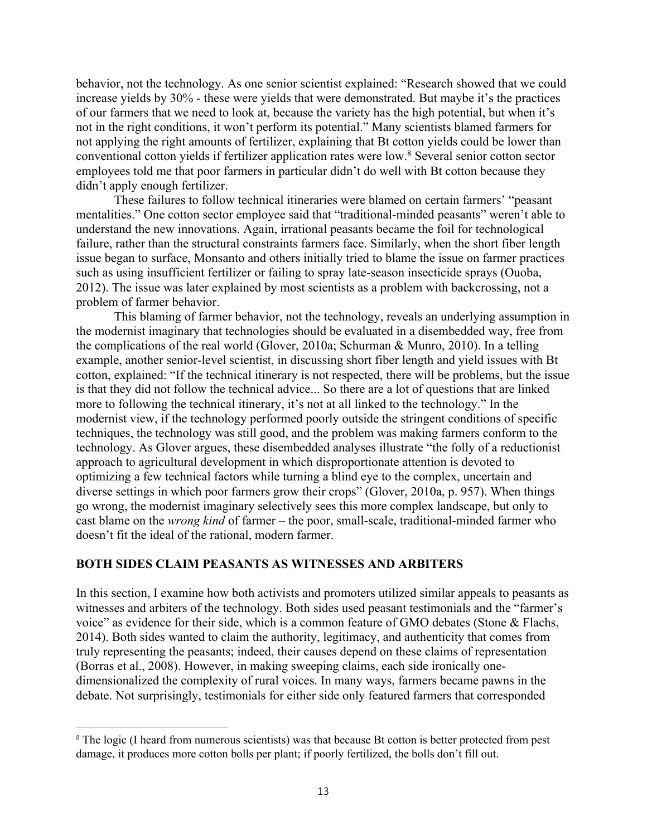behavior, not the technology. As one senior scientist explained: "Research showed that we could increase yields by 30% - these were yields that were demonstrated. But maybe it's the practices of our farmers that we need to look at, because the variety has the high potential, but when it's not in the right conditions, it won't perform its potential." Many scientists blamed farmers for not applying the right amounts of fertilizer, explaining that Bt cotton yields could be lower than conventional cotton yields if fertilizer application rates were low.8 Several senior cotton sector employees told me that poor farmers in particular didn't do well with Bt cotton because they didn't apply enough fertilizer.

These failures to follow technical itineraries were blamed on certain farmers' "peasant mentalities." One cotton sector employee said that "traditional-minded peasants" weren't able to understand the new innovations. Again, irrational peasants became the foil for technological failure, rather than the structural constraints farmers face. Similarly, when the short fiber length issue began to surface, Monsanto and others initially tried to blame the issue on farmer practices such as using insufficient fertilizer or failing to spray late-season insecticide sprays (Ouoba, 2012). The issue was later explained by most scientists as a problem with backcrossing, not a problem of farmer behavior.

This blaming of farmer behavior, not the technology, reveals an underlying assumption in the modernist imaginary that technologies should be evaluated in a disembedded way, free from the complications of the real world (Glover, 2010a; Schurman & Munro, 2010). In a telling example, another senior-level scientist, in discussing short fiber length and yield issues with Bt cotton, explained: "If the technical itinerary is not respected, there will be problems, but the issue is that they did not follow the technical advice... So there are a lot of questions that are linked more to following the technical itinerary, it's not at all linked to the technology." In the modernist view, if the technology performed poorly outside the stringent conditions of specific techniques, the technology was still good, and the problem was making farmers conform to the technology. As Glover argues, these disembedded analyses illustrate "the folly of a reductionist approach to agricultural development in which disproportionate attention is devoted to optimizing a few technical factors while turning a blind eye to the complex, uncertain and diverse settings in which poor farmers grow their crops" (Glover, 2010a, p. 957). When things go wrong, the modernist imaginary selectively sees this more complex landscape, but only to cast blame on the *wrong kind* of farmer – the poor, small-scale, traditional-minded farmer who doesn't fit the ideal of the rational, modern farmer.

#### **BOTH SIDES CLAIM PEASANTS AS WITNESSES AND ARBITERS**

In this section, I examine how both activists and promoters utilized similar appeals to peasants as witnesses and arbiters of the technology. Both sides used peasant testimonials and the "farmer's voice" as evidence for their side, which is a common feature of GMO debates (Stone & Flachs, 2014). Both sides wanted to claim the authority, legitimacy, and authenticity that comes from truly representing the peasants; indeed, their causes depend on these claims of representation (Borras et al., 2008). However, in making sweeping claims, each side ironically onedimensionalized the complexity of rural voices. In many ways, farmers became pawns in the debate. Not surprisingly, testimonials for either side only featured farmers that corresponded

<sup>&</sup>lt;sup>8</sup> The logic (I heard from numerous scientists) was that because Bt cotton is better protected from pest damage, it produces more cotton bolls per plant; if poorly fertilized, the bolls don't fill out.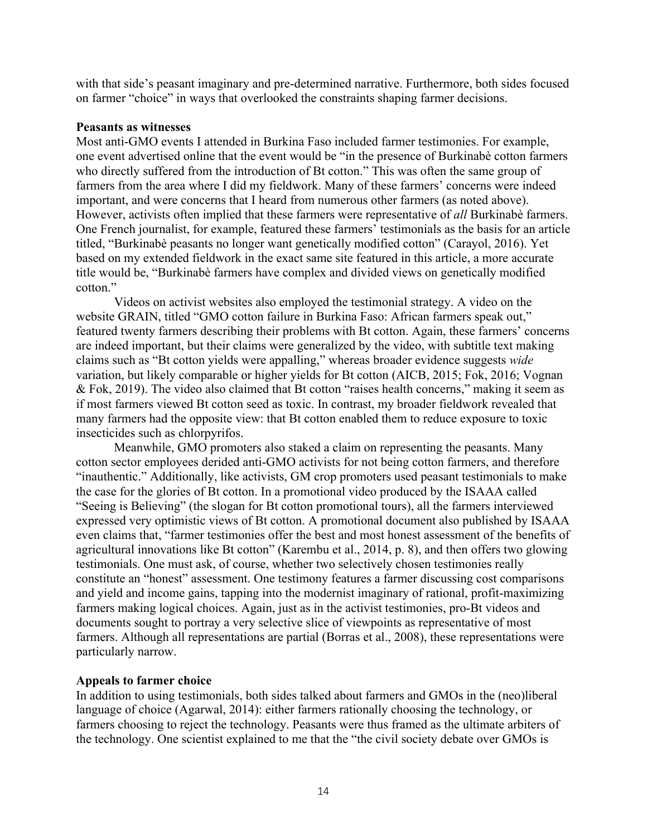with that side's peasant imaginary and pre-determined narrative. Furthermore, both sides focused on farmer "choice" in ways that overlooked the constraints shaping farmer decisions.

# **Peasants as witnesses**

Most anti-GMO events I attended in Burkina Faso included farmer testimonies. For example, one event advertised online that the event would be "in the presence of Burkinabè cotton farmers who directly suffered from the introduction of Bt cotton." This was often the same group of farmers from the area where I did my fieldwork. Many of these farmers' concerns were indeed important, and were concerns that I heard from numerous other farmers (as noted above). However, activists often implied that these farmers were representative of *all* Burkinabè farmers. One French journalist, for example, featured these farmers' testimonials as the basis for an article titled, "Burkinabè peasants no longer want genetically modified cotton" (Carayol, 2016). Yet based on my extended fieldwork in the exact same site featured in this article, a more accurate title would be, "Burkinabè farmers have complex and divided views on genetically modified cotton."

Videos on activist websites also employed the testimonial strategy. A video on the website GRAIN, titled "GMO cotton failure in Burkina Faso: African farmers speak out," featured twenty farmers describing their problems with Bt cotton. Again, these farmers' concerns are indeed important, but their claims were generalized by the video, with subtitle text making claims such as "Bt cotton yields were appalling," whereas broader evidence suggests *wide* variation, but likely comparable or higher yields for Bt cotton (AICB, 2015; Fok, 2016; Vognan & Fok, 2019). The video also claimed that Bt cotton "raises health concerns," making it seem as if most farmers viewed Bt cotton seed as toxic. In contrast, my broader fieldwork revealed that many farmers had the opposite view: that Bt cotton enabled them to reduce exposure to toxic insecticides such as chlorpyrifos.

Meanwhile, GMO promoters also staked a claim on representing the peasants. Many cotton sector employees derided anti-GMO activists for not being cotton farmers, and therefore "inauthentic." Additionally, like activists, GM crop promoters used peasant testimonials to make the case for the glories of Bt cotton. In a promotional video produced by the ISAAA called "Seeing is Believing" (the slogan for Bt cotton promotional tours), all the farmers interviewed expressed very optimistic views of Bt cotton. A promotional document also published by ISAAA even claims that, "farmer testimonies offer the best and most honest assessment of the benefits of agricultural innovations like Bt cotton" (Karembu et al., 2014, p. 8), and then offers two glowing testimonials. One must ask, of course, whether two selectively chosen testimonies really constitute an "honest" assessment. One testimony features a farmer discussing cost comparisons and yield and income gains, tapping into the modernist imaginary of rational, profit-maximizing farmers making logical choices. Again, just as in the activist testimonies, pro-Bt videos and documents sought to portray a very selective slice of viewpoints as representative of most farmers. Although all representations are partial (Borras et al., 2008), these representations were particularly narrow.

# **Appeals to farmer choice**

In addition to using testimonials, both sides talked about farmers and GMOs in the (neo)liberal language of choice (Agarwal, 2014): either farmers rationally choosing the technology, or farmers choosing to reject the technology. Peasants were thus framed as the ultimate arbiters of the technology. One scientist explained to me that the "the civil society debate over GMOs is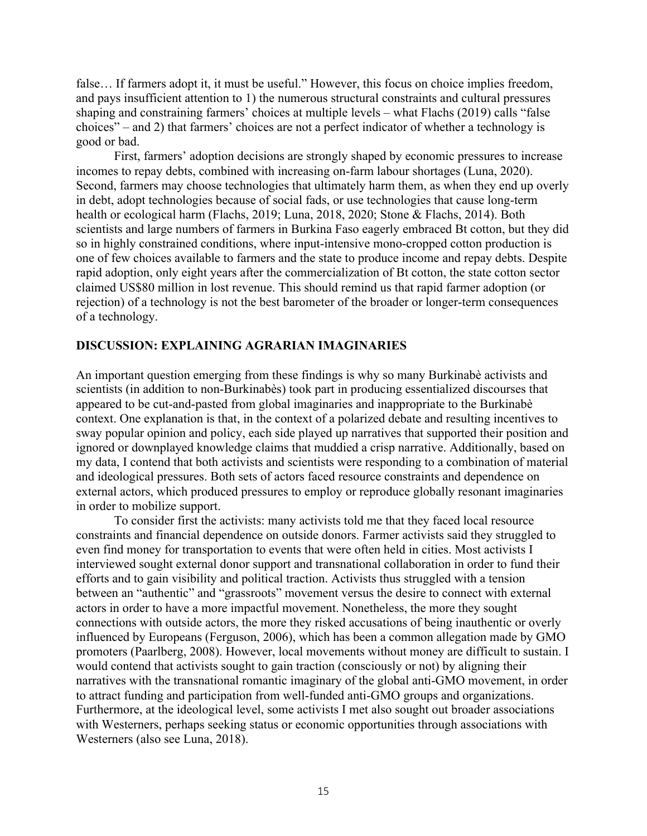false… If farmers adopt it, it must be useful." However, this focus on choice implies freedom, and pays insufficient attention to 1) the numerous structural constraints and cultural pressures shaping and constraining farmers' choices at multiple levels – what Flachs (2019) calls "false choices" – and 2) that farmers' choices are not a perfect indicator of whether a technology is good or bad.

First, farmers' adoption decisions are strongly shaped by economic pressures to increase incomes to repay debts, combined with increasing on-farm labour shortages (Luna, 2020). Second, farmers may choose technologies that ultimately harm them, as when they end up overly in debt, adopt technologies because of social fads, or use technologies that cause long-term health or ecological harm (Flachs, 2019; Luna, 2018, 2020; Stone & Flachs, 2014). Both scientists and large numbers of farmers in Burkina Faso eagerly embraced Bt cotton, but they did so in highly constrained conditions, where input-intensive mono-cropped cotton production is one of few choices available to farmers and the state to produce income and repay debts. Despite rapid adoption, only eight years after the commercialization of Bt cotton, the state cotton sector claimed US\$80 million in lost revenue. This should remind us that rapid farmer adoption (or rejection) of a technology is not the best barometer of the broader or longer-term consequences of a technology.

# **DISCUSSION: EXPLAINING AGRARIAN IMAGINARIES**

An important question emerging from these findings is why so many Burkinabè activists and scientists (in addition to non-Burkinabès) took part in producing essentialized discourses that appeared to be cut-and-pasted from global imaginaries and inappropriate to the Burkinabè context. One explanation is that, in the context of a polarized debate and resulting incentives to sway popular opinion and policy, each side played up narratives that supported their position and ignored or downplayed knowledge claims that muddied a crisp narrative. Additionally, based on my data, I contend that both activists and scientists were responding to a combination of material and ideological pressures. Both sets of actors faced resource constraints and dependence on external actors, which produced pressures to employ or reproduce globally resonant imaginaries in order to mobilize support.

To consider first the activists: many activists told me that they faced local resource constraints and financial dependence on outside donors. Farmer activists said they struggled to even find money for transportation to events that were often held in cities. Most activists I interviewed sought external donor support and transnational collaboration in order to fund their efforts and to gain visibility and political traction. Activists thus struggled with a tension between an "authentic" and "grassroots" movement versus the desire to connect with external actors in order to have a more impactful movement. Nonetheless, the more they sought connections with outside actors, the more they risked accusations of being inauthentic or overly influenced by Europeans (Ferguson, 2006), which has been a common allegation made by GMO promoters (Paarlberg, 2008). However, local movements without money are difficult to sustain. I would contend that activists sought to gain traction (consciously or not) by aligning their narratives with the transnational romantic imaginary of the global anti-GMO movement, in order to attract funding and participation from well-funded anti-GMO groups and organizations. Furthermore, at the ideological level, some activists I met also sought out broader associations with Westerners, perhaps seeking status or economic opportunities through associations with Westerners (also see Luna, 2018).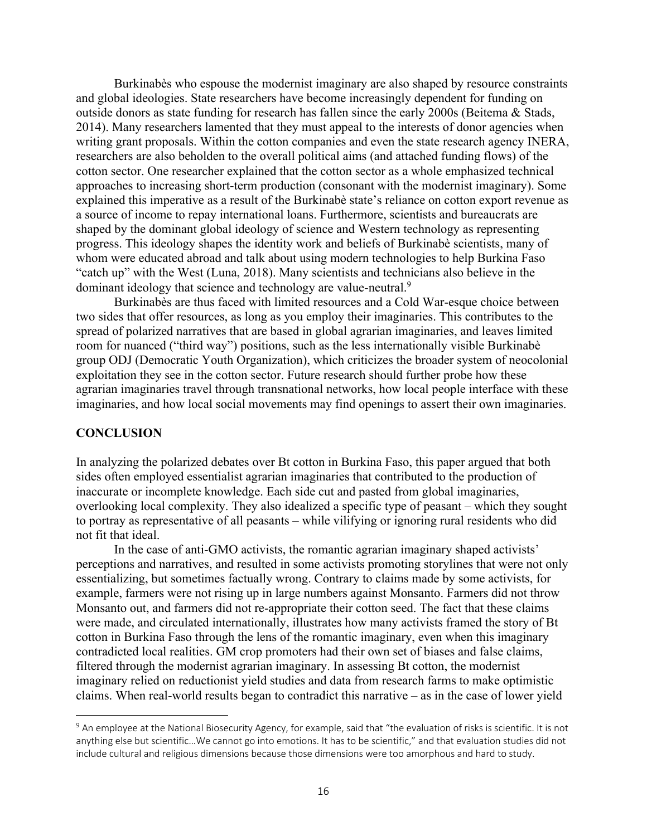Burkinabès who espouse the modernist imaginary are also shaped by resource constraints and global ideologies. State researchers have become increasingly dependent for funding on outside donors as state funding for research has fallen since the early 2000s (Beitema & Stads, 2014). Many researchers lamented that they must appeal to the interests of donor agencies when writing grant proposals. Within the cotton companies and even the state research agency INERA, researchers are also beholden to the overall political aims (and attached funding flows) of the cotton sector. One researcher explained that the cotton sector as a whole emphasized technical approaches to increasing short-term production (consonant with the modernist imaginary). Some explained this imperative as a result of the Burkinabè state's reliance on cotton export revenue as a source of income to repay international loans. Furthermore, scientists and bureaucrats are shaped by the dominant global ideology of science and Western technology as representing progress. This ideology shapes the identity work and beliefs of Burkinabè scientists, many of whom were educated abroad and talk about using modern technologies to help Burkina Faso "catch up" with the West (Luna, 2018). Many scientists and technicians also believe in the dominant ideology that science and technology are value-neutral.<sup>9</sup>

Burkinabès are thus faced with limited resources and a Cold War-esque choice between two sides that offer resources, as long as you employ their imaginaries. This contributes to the spread of polarized narratives that are based in global agrarian imaginaries, and leaves limited room for nuanced ("third way") positions, such as the less internationally visible Burkinabè group ODJ (Democratic Youth Organization), which criticizes the broader system of neocolonial exploitation they see in the cotton sector. Future research should further probe how these agrarian imaginaries travel through transnational networks, how local people interface with these imaginaries, and how local social movements may find openings to assert their own imaginaries.

# **CONCLUSION**

In analyzing the polarized debates over Bt cotton in Burkina Faso, this paper argued that both sides often employed essentialist agrarian imaginaries that contributed to the production of inaccurate or incomplete knowledge. Each side cut and pasted from global imaginaries, overlooking local complexity. They also idealized a specific type of peasant – which they sought to portray as representative of all peasants – while vilifying or ignoring rural residents who did not fit that ideal.

In the case of anti-GMO activists, the romantic agrarian imaginary shaped activists' perceptions and narratives, and resulted in some activists promoting storylines that were not only essentializing, but sometimes factually wrong. Contrary to claims made by some activists, for example, farmers were not rising up in large numbers against Monsanto. Farmers did not throw Monsanto out, and farmers did not re-appropriate their cotton seed. The fact that these claims were made, and circulated internationally, illustrates how many activists framed the story of Bt cotton in Burkina Faso through the lens of the romantic imaginary, even when this imaginary contradicted local realities. GM crop promoters had their own set of biases and false claims, filtered through the modernist agrarian imaginary. In assessing Bt cotton, the modernist imaginary relied on reductionist yield studies and data from research farms to make optimistic claims. When real-world results began to contradict this narrative – as in the case of lower yield

<sup>&</sup>lt;sup>9</sup> An employee at the National Biosecurity Agency, for example, said that "the evaluation of risks is scientific. It is not anything else but scientific…We cannot go into emotions. It has to be scientific," and that evaluation studies did not include cultural and religious dimensions because those dimensions were too amorphous and hard to study.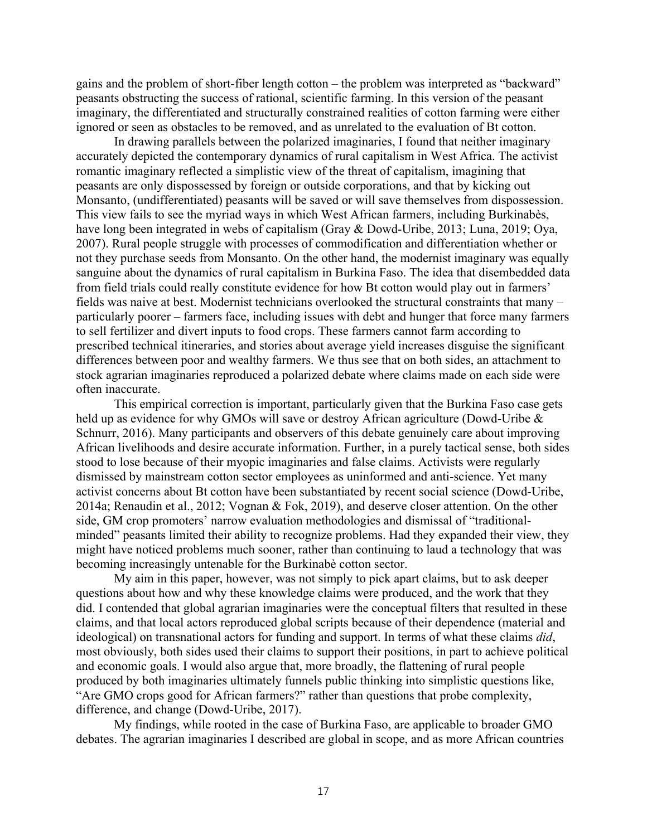gains and the problem of short-fiber length cotton – the problem was interpreted as "backward" peasants obstructing the success of rational, scientific farming. In this version of the peasant imaginary, the differentiated and structurally constrained realities of cotton farming were either ignored or seen as obstacles to be removed, and as unrelated to the evaluation of Bt cotton.

In drawing parallels between the polarized imaginaries, I found that neither imaginary accurately depicted the contemporary dynamics of rural capitalism in West Africa. The activist romantic imaginary reflected a simplistic view of the threat of capitalism, imagining that peasants are only dispossessed by foreign or outside corporations, and that by kicking out Monsanto, (undifferentiated) peasants will be saved or will save themselves from dispossession. This view fails to see the myriad ways in which West African farmers, including Burkinabès, have long been integrated in webs of capitalism (Gray & Dowd-Uribe, 2013; Luna, 2019; Oya, 2007). Rural people struggle with processes of commodification and differentiation whether or not they purchase seeds from Monsanto. On the other hand, the modernist imaginary was equally sanguine about the dynamics of rural capitalism in Burkina Faso. The idea that disembedded data from field trials could really constitute evidence for how Bt cotton would play out in farmers' fields was naive at best. Modernist technicians overlooked the structural constraints that many – particularly poorer – farmers face, including issues with debt and hunger that force many farmers to sell fertilizer and divert inputs to food crops. These farmers cannot farm according to prescribed technical itineraries, and stories about average yield increases disguise the significant differences between poor and wealthy farmers. We thus see that on both sides, an attachment to stock agrarian imaginaries reproduced a polarized debate where claims made on each side were often inaccurate.

This empirical correction is important, particularly given that the Burkina Faso case gets held up as evidence for why GMOs will save or destroy African agriculture (Dowd-Uribe & Schnurr, 2016). Many participants and observers of this debate genuinely care about improving African livelihoods and desire accurate information. Further, in a purely tactical sense, both sides stood to lose because of their myopic imaginaries and false claims. Activists were regularly dismissed by mainstream cotton sector employees as uninformed and anti-science. Yet many activist concerns about Bt cotton have been substantiated by recent social science (Dowd-Uribe, 2014a; Renaudin et al., 2012; Vognan & Fok, 2019), and deserve closer attention. On the other side, GM crop promoters' narrow evaluation methodologies and dismissal of "traditionalminded" peasants limited their ability to recognize problems. Had they expanded their view, they might have noticed problems much sooner, rather than continuing to laud a technology that was becoming increasingly untenable for the Burkinabè cotton sector.

My aim in this paper, however, was not simply to pick apart claims, but to ask deeper questions about how and why these knowledge claims were produced, and the work that they did. I contended that global agrarian imaginaries were the conceptual filters that resulted in these claims, and that local actors reproduced global scripts because of their dependence (material and ideological) on transnational actors for funding and support. In terms of what these claims *did*, most obviously, both sides used their claims to support their positions, in part to achieve political and economic goals. I would also argue that, more broadly, the flattening of rural people produced by both imaginaries ultimately funnels public thinking into simplistic questions like, "Are GMO crops good for African farmers?" rather than questions that probe complexity, difference, and change (Dowd-Uribe, 2017).

My findings, while rooted in the case of Burkina Faso, are applicable to broader GMO debates. The agrarian imaginaries I described are global in scope, and as more African countries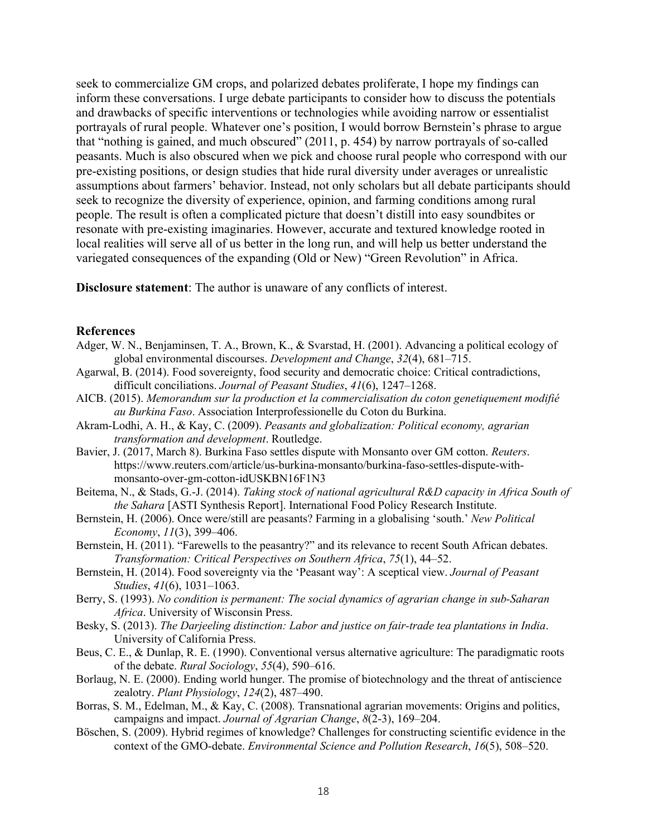seek to commercialize GM crops, and polarized debates proliferate, I hope my findings can inform these conversations. I urge debate participants to consider how to discuss the potentials and drawbacks of specific interventions or technologies while avoiding narrow or essentialist portrayals of rural people. Whatever one's position, I would borrow Bernstein's phrase to argue that "nothing is gained, and much obscured" (2011, p. 454) by narrow portrayals of so-called peasants. Much is also obscured when we pick and choose rural people who correspond with our pre-existing positions, or design studies that hide rural diversity under averages or unrealistic assumptions about farmers' behavior. Instead, not only scholars but all debate participants should seek to recognize the diversity of experience, opinion, and farming conditions among rural people. The result is often a complicated picture that doesn't distill into easy soundbites or resonate with pre-existing imaginaries. However, accurate and textured knowledge rooted in local realities will serve all of us better in the long run, and will help us better understand the variegated consequences of the expanding (Old or New) "Green Revolution" in Africa.

**Disclosure statement**: The author is unaware of any conflicts of interest.

# **References**

- Adger, W. N., Benjaminsen, T. A., Brown, K., & Svarstad, H. (2001). Advancing a political ecology of global environmental discourses. *Development and Change*, *32*(4), 681–715.
- Agarwal, B. (2014). Food sovereignty, food security and democratic choice: Critical contradictions, difficult conciliations. *Journal of Peasant Studies*, *41*(6), 1247–1268.
- AICB. (2015). *Memorandum sur la production et la commercialisation du coton genetiquement modifié au Burkina Faso*. Association Interprofessionelle du Coton du Burkina.
- Akram-Lodhi, A. H., & Kay, C. (2009). *Peasants and globalization: Political economy, agrarian transformation and development*. Routledge.
- Bavier, J. (2017, March 8). Burkina Faso settles dispute with Monsanto over GM cotton. *Reuters*. https://www.reuters.com/article/us-burkina-monsanto/burkina-faso-settles-dispute-withmonsanto-over-gm-cotton-idUSKBN16F1N3
- Beitema, N., & Stads, G.-J. (2014). *Taking stock of national agricultural R&D capacity in Africa South of the Sahara* [ASTI Synthesis Report]. International Food Policy Research Institute.
- Bernstein, H. (2006). Once were/still are peasants? Farming in a globalising 'south.' *New Political Economy*, *11*(3), 399–406.
- Bernstein, H. (2011). "Farewells to the peasantry?" and its relevance to recent South African debates. *Transformation: Critical Perspectives on Southern Africa*, *75*(1), 44–52.
- Bernstein, H. (2014). Food sovereignty via the 'Peasant way': A sceptical view. *Journal of Peasant Studies*, *41*(6), 1031–1063.
- Berry, S. (1993). *No condition is permanent: The social dynamics of agrarian change in sub-Saharan Africa*. University of Wisconsin Press.
- Besky, S. (2013). *The Darjeeling distinction: Labor and justice on fair-trade tea plantations in India*. University of California Press.
- Beus, C. E., & Dunlap, R. E. (1990). Conventional versus alternative agriculture: The paradigmatic roots of the debate. *Rural Sociology*, *55*(4), 590–616.
- Borlaug, N. E. (2000). Ending world hunger. The promise of biotechnology and the threat of antiscience zealotry. *Plant Physiology*, *124*(2), 487–490.
- Borras, S. M., Edelman, M., & Kay, C. (2008). Transnational agrarian movements: Origins and politics, campaigns and impact. *Journal of Agrarian Change*, *8*(2‐3), 169–204.
- Böschen, S. (2009). Hybrid regimes of knowledge? Challenges for constructing scientific evidence in the context of the GMO-debate. *Environmental Science and Pollution Research*, *16*(5), 508–520.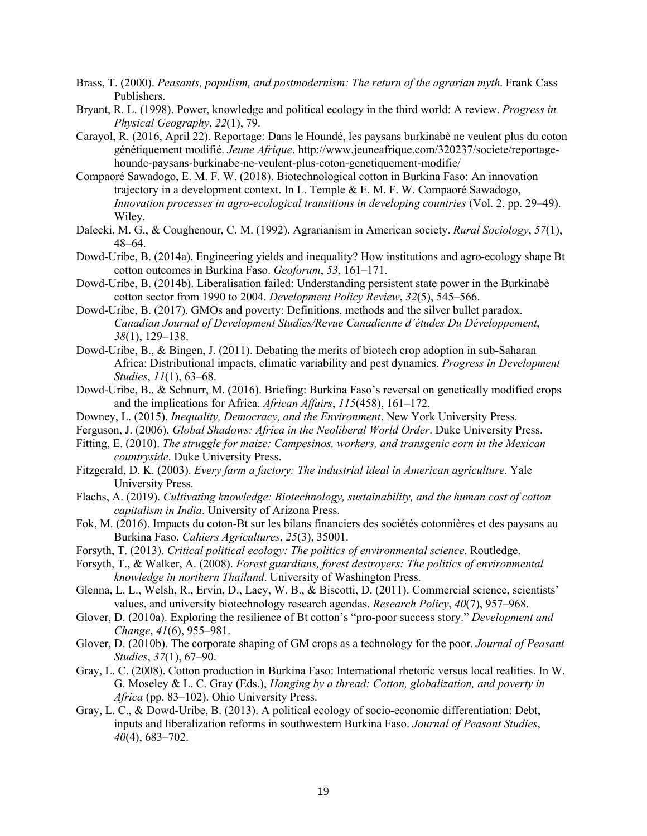- Brass, T. (2000). *Peasants, populism, and postmodernism: The return of the agrarian myth*. Frank Cass Publishers.
- Bryant, R. L. (1998). Power, knowledge and political ecology in the third world: A review. *Progress in Physical Geography*, *22*(1), 79.
- Carayol, R. (2016, April 22). Reportage: Dans le Houndé, les paysans burkinabè ne veulent plus du coton génétiquement modifié. *Jeune Afrique*. http://www.jeuneafrique.com/320237/societe/reportagehounde-paysans-burkinabe-ne-veulent-plus-coton-genetiquement-modifie/
- Compaoré Sawadogo, E. M. F. W. (2018). Biotechnological cotton in Burkina Faso: An innovation trajectory in a development context. In L. Temple & E. M. F. W. Compaoré Sawadogo, *Innovation processes in agro‐ecological transitions in developing countries* (Vol. 2, pp. 29–49). Wiley.
- Dalecki, M. G., & Coughenour, C. M. (1992). Agrarianism in American society. *Rural Sociology*, *57*(1), 48–64.
- Dowd-Uribe, B. (2014a). Engineering yields and inequality? How institutions and agro-ecology shape Bt cotton outcomes in Burkina Faso. *Geoforum*, *53*, 161–171.
- Dowd-Uribe, B. (2014b). Liberalisation failed: Understanding persistent state power in the Burkinabè cotton sector from 1990 to 2004. *Development Policy Review*, *32*(5), 545–566.
- Dowd-Uribe, B. (2017). GMOs and poverty: Definitions, methods and the silver bullet paradox. *Canadian Journal of Development Studies/Revue Canadienne d'études Du Développement*, *38*(1), 129–138.
- Dowd-Uribe, B., & Bingen, J. (2011). Debating the merits of biotech crop adoption in sub-Saharan Africa: Distributional impacts, climatic variability and pest dynamics. *Progress in Development Studies*, *11*(1), 63–68.
- Dowd-Uribe, B., & Schnurr, M. (2016). Briefing: Burkina Faso's reversal on genetically modified crops and the implications for Africa. *African Affairs*, *115*(458), 161–172.
- Downey, L. (2015). *Inequality, Democracy, and the Environment*. New York University Press.
- Ferguson, J. (2006). *Global Shadows: Africa in the Neoliberal World Order*. Duke University Press.
- Fitting, E. (2010). *The struggle for maize: Campesinos, workers, and transgenic corn in the Mexican countryside*. Duke University Press.
- Fitzgerald, D. K. (2003). *Every farm a factory: The industrial ideal in American agriculture*. Yale University Press.
- Flachs, A. (2019). *Cultivating knowledge: Biotechnology, sustainability, and the human cost of cotton capitalism in India*. University of Arizona Press.
- Fok, M. (2016). Impacts du coton-Bt sur les bilans financiers des sociétés cotonnières et des paysans au Burkina Faso. *Cahiers Agricultures*, *25*(3), 35001.
- Forsyth, T. (2013). *Critical political ecology: The politics of environmental science*. Routledge.
- Forsyth, T., & Walker, A. (2008). *Forest guardians, forest destroyers: The politics of environmental knowledge in northern Thailand*. University of Washington Press.
- Glenna, L. L., Welsh, R., Ervin, D., Lacy, W. B., & Biscotti, D. (2011). Commercial science, scientists' values, and university biotechnology research agendas. *Research Policy*, *40*(7), 957–968.
- Glover, D. (2010a). Exploring the resilience of Bt cotton's "pro-poor success story." *Development and Change*, *41*(6), 955–981.
- Glover, D. (2010b). The corporate shaping of GM crops as a technology for the poor. *Journal of Peasant Studies*, *37*(1), 67–90.
- Gray, L. C. (2008). Cotton production in Burkina Faso: International rhetoric versus local realities. In W. G. Moseley & L. C. Gray (Eds.), *Hanging by a thread: Cotton, globalization, and poverty in Africa* (pp. 83–102). Ohio University Press.
- Gray, L. C., & Dowd-Uribe, B. (2013). A political ecology of socio-economic differentiation: Debt, inputs and liberalization reforms in southwestern Burkina Faso. *Journal of Peasant Studies*, *40*(4), 683–702.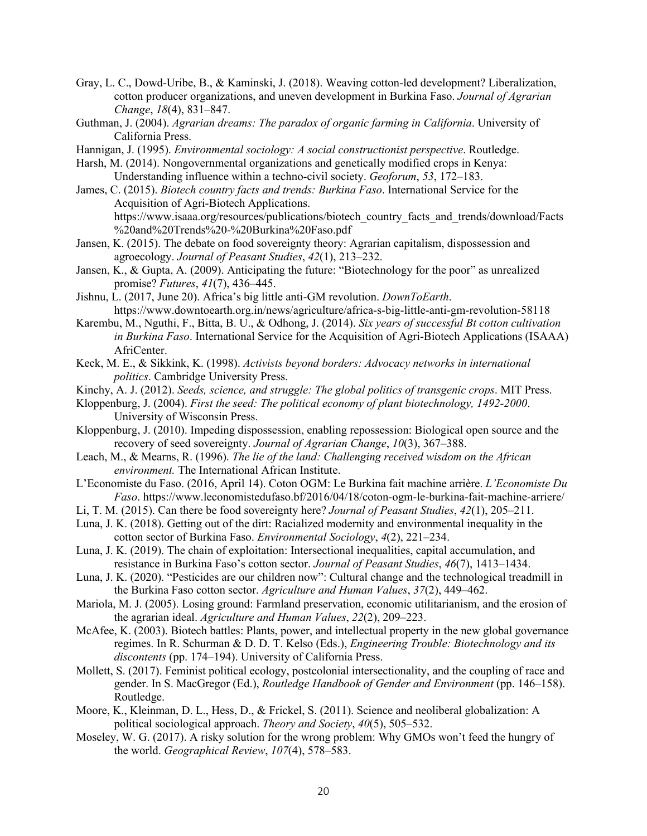- Gray, L. C., Dowd-Uribe, B., & Kaminski, J. (2018). Weaving cotton‐led development? Liberalization, cotton producer organizations, and uneven development in Burkina Faso. *Journal of Agrarian Change*, *18*(4), 831–847.
- Guthman, J. (2004). *Agrarian dreams: The paradox of organic farming in California*. University of California Press.
- Hannigan, J. (1995). *Environmental sociology: A social constructionist perspective*. Routledge.
- Harsh, M. (2014). Nongovernmental organizations and genetically modified crops in Kenya: Understanding influence within a techno-civil society. *Geoforum*, *53*, 172–183.
- James, C. (2015). *Biotech country facts and trends: Burkina Faso*. International Service for the Acquisition of Agri-Biotech Applications. https://www.isaaa.org/resources/publications/biotech\_country\_facts\_and\_trends/download/Facts %20and%20Trends%20-%20Burkina%20Faso.pdf
- Jansen, K. (2015). The debate on food sovereignty theory: Agrarian capitalism, dispossession and agroecology. *Journal of Peasant Studies*, *42*(1), 213–232.
- Jansen, K., & Gupta, A. (2009). Anticipating the future: "Biotechnology for the poor" as unrealized promise? *Futures*, *41*(7), 436–445.
- Jishnu, L. (2017, June 20). Africa's big little anti-GM revolution. *DownToEarth*. https://www.downtoearth.org.in/news/agriculture/africa-s-big-little-anti-gm-revolution-58118
- Karembu, M., Nguthi, F., Bitta, B. U., & Odhong, J. (2014). *Six years of successful Bt cotton cultivation in Burkina Faso*. International Service for the Acquisition of Agri-Biotech Applications (ISAAA) AfriCenter.
- Keck, M. E., & Sikkink, K. (1998). *Activists beyond borders: Advocacy networks in international politics*. Cambridge University Press.
- Kinchy, A. J. (2012). *Seeds, science, and struggle: The global politics of transgenic crops*. MIT Press.
- Kloppenburg, J. (2004). *First the seed: The political economy of plant biotechnology, 1492-2000*. University of Wisconsin Press.
- Kloppenburg, J. (2010). Impeding dispossession, enabling repossession: Biological open source and the recovery of seed sovereignty. *Journal of Agrarian Change*, *10*(3), 367–388.
- Leach, M., & Mearns, R. (1996). *The lie of the land: Challenging received wisdom on the African environment.* The International African Institute.
- L'Economiste du Faso. (2016, April 14). Coton OGM: Le Burkina fait machine arrière. *L'Economiste Du Faso*. https://www.leconomistedufaso.bf/2016/04/18/coton-ogm-le-burkina-fait-machine-arriere/
- Li, T. M. (2015). Can there be food sovereignty here? *Journal of Peasant Studies*, *42*(1), 205–211.
- Luna, J. K. (2018). Getting out of the dirt: Racialized modernity and environmental inequality in the cotton sector of Burkina Faso. *Environmental Sociology*, *4*(2), 221–234.
- Luna, J. K. (2019). The chain of exploitation: Intersectional inequalities, capital accumulation, and resistance in Burkina Faso's cotton sector. *Journal of Peasant Studies*, *46*(7), 1413–1434.
- Luna, J. K. (2020). "Pesticides are our children now": Cultural change and the technological treadmill in the Burkina Faso cotton sector. *Agriculture and Human Values*, *37*(2), 449–462.
- Mariola, M. J. (2005). Losing ground: Farmland preservation, economic utilitarianism, and the erosion of the agrarian ideal. *Agriculture and Human Values*, *22*(2), 209–223.
- McAfee, K. (2003). Biotech battles: Plants, power, and intellectual property in the new global governance regimes. In R. Schurman & D. D. T. Kelso (Eds.), *Engineering Trouble: Biotechnology and its discontents* (pp. 174–194). University of California Press.
- Mollett, S. (2017). Feminist political ecology, postcolonial intersectionality, and the coupling of race and gender. In S. MacGregor (Ed.), *Routledge Handbook of Gender and Environment* (pp. 146–158). Routledge.
- Moore, K., Kleinman, D. L., Hess, D., & Frickel, S. (2011). Science and neoliberal globalization: A political sociological approach. *Theory and Society*, *40*(5), 505–532.
- Moseley, W. G. (2017). A risky solution for the wrong problem: Why GMOs won't feed the hungry of the world. *Geographical Review*, *107*(4), 578–583.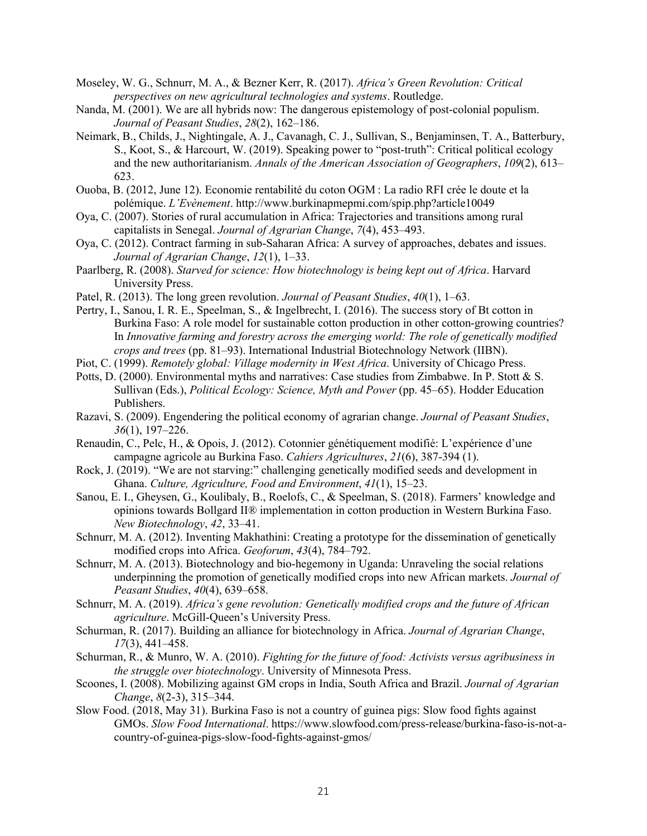- Moseley, W. G., Schnurr, M. A., & Bezner Kerr, R. (2017). *Africa's Green Revolution: Critical perspectives on new agricultural technologies and systems*. Routledge.
- Nanda, M. (2001). We are all hybrids now: The dangerous epistemology of post-colonial populism. *Journal of Peasant Studies*, *28*(2), 162–186.
- Neimark, B., Childs, J., Nightingale, A. J., Cavanagh, C. J., Sullivan, S., Benjaminsen, T. A., Batterbury, S., Koot, S., & Harcourt, W. (2019). Speaking power to "post-truth": Critical political ecology and the new authoritarianism. *Annals of the American Association of Geographers*, *109*(2), 613– 623.
- Ouoba, B. (2012, June 12). Economie rentabilité du coton OGM : La radio RFI crée le doute et la polémique. *L'Evènement*. http://www.burkinapmepmi.com/spip.php?article10049
- Oya, C. (2007). Stories of rural accumulation in Africa: Trajectories and transitions among rural capitalists in Senegal. *Journal of Agrarian Change*, *7*(4), 453–493.
- Oya, C. (2012). Contract farming in sub‐Saharan Africa: A survey of approaches, debates and issues. *Journal of Agrarian Change*, *12*(1), 1–33.
- Paarlberg, R. (2008). *Starved for science: How biotechnology is being kept out of Africa*. Harvard University Press.
- Patel, R. (2013). The long green revolution. *Journal of Peasant Studies*, *40*(1), 1–63.
- Pertry, I., Sanou, I. R. E., Speelman, S., & Ingelbrecht, I. (2016). The success story of Bt cotton in Burkina Faso: A role model for sustainable cotton production in other cotton-growing countries? In *Innovative farming and forestry across the emerging world: The role of genetically modified crops and trees* (pp. 81–93). International Industrial Biotechnology Network (IIBN).
- Piot, C. (1999). *Remotely global: Village modernity in West Africa*. University of Chicago Press.
- Potts, D. (2000). Environmental myths and narratives: Case studies from Zimbabwe. In P. Stott & S. Sullivan (Eds.), *Political Ecology: Science, Myth and Power* (pp. 45–65). Hodder Education Publishers.
- Razavi, S. (2009). Engendering the political economy of agrarian change. *Journal of Peasant Studies*, *36*(1), 197–226.
- Renaudin, C., Pelc, H., & Opois, J. (2012). Cotonnier génétiquement modifié: L'expérience d'une campagne agricole au Burkina Faso. *Cahiers Agricultures*, *21*(6), 387-394 (1).
- Rock, J. (2019). "We are not starving:" challenging genetically modified seeds and development in Ghana. *Culture, Agriculture, Food and Environment*, *41*(1), 15–23.
- Sanou, E. I., Gheysen, G., Koulibaly, B., Roelofs, C., & Speelman, S. (2018). Farmers' knowledge and opinions towards Bollgard II® implementation in cotton production in Western Burkina Faso. *New Biotechnology*, *42*, 33–41.
- Schnurr, M. A. (2012). Inventing Makhathini: Creating a prototype for the dissemination of genetically modified crops into Africa. *Geoforum*, *43*(4), 784–792.
- Schnurr, M. A. (2013). Biotechnology and bio-hegemony in Uganda: Unraveling the social relations underpinning the promotion of genetically modified crops into new African markets. *Journal of Peasant Studies*, *40*(4), 639–658.
- Schnurr, M. A. (2019). *Africa's gene revolution: Genetically modified crops and the future of African agriculture*. McGill-Queen's University Press.
- Schurman, R. (2017). Building an alliance for biotechnology in Africa. *Journal of Agrarian Change*, *17*(3), 441–458.
- Schurman, R., & Munro, W. A. (2010). *Fighting for the future of food: Activists versus agribusiness in the struggle over biotechnology*. University of Minnesota Press.
- Scoones, I. (2008). Mobilizing against GM crops in India, South Africa and Brazil. *Journal of Agrarian Change*, *8*(2‐3), 315–344.
- Slow Food. (2018, May 31). Burkina Faso is not a country of guinea pigs: Slow food fights against GMOs. *Slow Food International*. https://www.slowfood.com/press-release/burkina-faso-is-not-acountry-of-guinea-pigs-slow-food-fights-against-gmos/